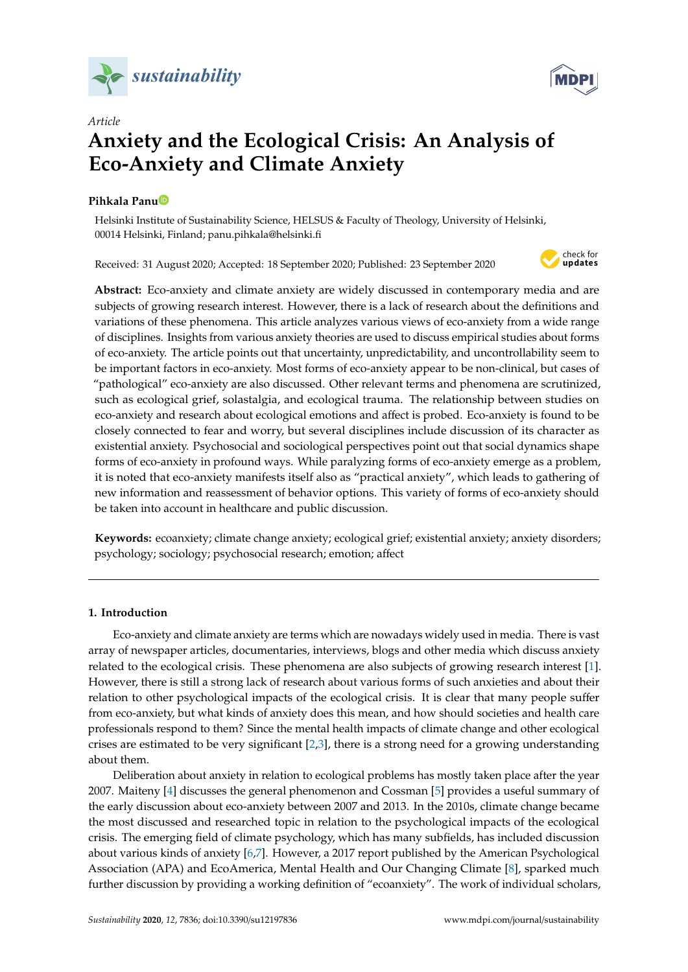



# *Article* **Anxiety and the Ecological Crisis: An Analysis of Eco-Anxiety and Climate Anxiety**

# **Pihkala Pan[u](https://orcid.org/0000-0002-6876-8011)**

Helsinki Institute of Sustainability Science, HELSUS & Faculty of Theology, University of Helsinki, 00014 Helsinki, Finland; panu.pihkala@helsinki.fi

Received: 31 August 2020; Accepted: 18 September 2020; Published: 23 September 2020



**Abstract:** Eco-anxiety and climate anxiety are widely discussed in contemporary media and are subjects of growing research interest. However, there is a lack of research about the definitions and variations of these phenomena. This article analyzes various views of eco-anxiety from a wide range of disciplines. Insights from various anxiety theories are used to discuss empirical studies about forms of eco-anxiety. The article points out that uncertainty, unpredictability, and uncontrollability seem to be important factors in eco-anxiety. Most forms of eco-anxiety appear to be non-clinical, but cases of "pathological" eco-anxiety are also discussed. Other relevant terms and phenomena are scrutinized, such as ecological grief, solastalgia, and ecological trauma. The relationship between studies on eco-anxiety and research about ecological emotions and affect is probed. Eco-anxiety is found to be closely connected to fear and worry, but several disciplines include discussion of its character as existential anxiety. Psychosocial and sociological perspectives point out that social dynamics shape forms of eco-anxiety in profound ways. While paralyzing forms of eco-anxiety emerge as a problem, it is noted that eco-anxiety manifests itself also as "practical anxiety", which leads to gathering of new information and reassessment of behavior options. This variety of forms of eco-anxiety should be taken into account in healthcare and public discussion.

**Keywords:** ecoanxiety; climate change anxiety; ecological grief; existential anxiety; anxiety disorders; psychology; sociology; psychosocial research; emotion; affect

# **1. Introduction**

Eco-anxiety and climate anxiety are terms which are nowadays widely used in media. There is vast array of newspaper articles, documentaries, interviews, blogs and other media which discuss anxiety related to the ecological crisis. These phenomena are also subjects of growing research interest [\[1\]](#page-13-0). However, there is still a strong lack of research about various forms of such anxieties and about their relation to other psychological impacts of the ecological crisis. It is clear that many people suffer from eco-anxiety, but what kinds of anxiety does this mean, and how should societies and health care professionals respond to them? Since the mental health impacts of climate change and other ecological crises are estimated to be very significant [\[2](#page-13-1)[,3\]](#page-13-2), there is a strong need for a growing understanding about them.

Deliberation about anxiety in relation to ecological problems has mostly taken place after the year 2007. Maiteny [\[4\]](#page-13-3) discusses the general phenomenon and Cossman [\[5\]](#page-13-4) provides a useful summary of the early discussion about eco-anxiety between 2007 and 2013. In the 2010s, climate change became the most discussed and researched topic in relation to the psychological impacts of the ecological crisis. The emerging field of climate psychology, which has many subfields, has included discussion about various kinds of anxiety [\[6](#page-13-5)[,7\]](#page-13-6). However, a 2017 report published by the American Psychological Association (APA) and EcoAmerica, Mental Health and Our Changing Climate [\[8\]](#page-13-7), sparked much further discussion by providing a working definition of "ecoanxiety". The work of individual scholars,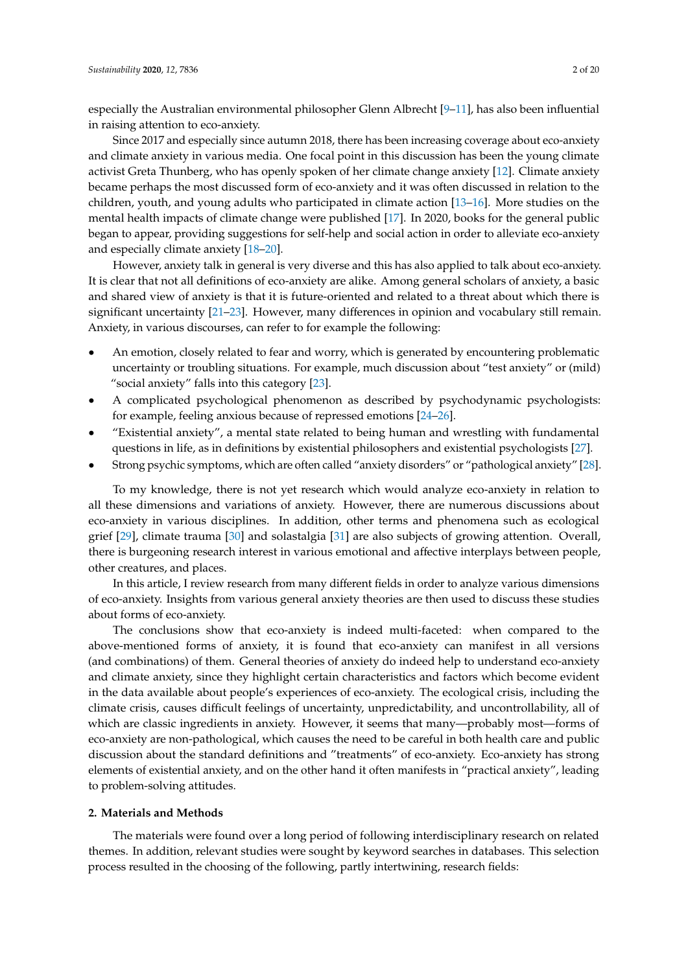especially the Australian environmental philosopher Glenn Albrecht [\[9](#page-13-8)[–11\]](#page-14-0), has also been influential in raising attention to eco-anxiety.

Since 2017 and especially since autumn 2018, there has been increasing coverage about eco-anxiety and climate anxiety in various media. One focal point in this discussion has been the young climate activist Greta Thunberg, who has openly spoken of her climate change anxiety [\[12\]](#page-14-1). Climate anxiety became perhaps the most discussed form of eco-anxiety and it was often discussed in relation to the children, youth, and young adults who participated in climate action [\[13–](#page-14-2)[16\]](#page-14-3). More studies on the mental health impacts of climate change were published [\[17\]](#page-14-4). In 2020, books for the general public began to appear, providing suggestions for self-help and social action in order to alleviate eco-anxiety and especially climate anxiety [\[18](#page-14-5)[–20\]](#page-14-6).

However, anxiety talk in general is very diverse and this has also applied to talk about eco-anxiety. It is clear that not all definitions of eco-anxiety are alike. Among general scholars of anxiety, a basic and shared view of anxiety is that it is future-oriented and related to a threat about which there is significant uncertainty [\[21–](#page-14-7)[23\]](#page-14-8). However, many differences in opinion and vocabulary still remain. Anxiety, in various discourses, can refer to for example the following:

- An emotion, closely related to fear and worry, which is generated by encountering problematic uncertainty or troubling situations. For example, much discussion about "test anxiety" or (mild) "social anxiety" falls into this category [\[23\]](#page-14-8).
- A complicated psychological phenomenon as described by psychodynamic psychologists: for example, feeling anxious because of repressed emotions [\[24–](#page-14-9)[26\]](#page-14-10).
- "Existential anxiety", a mental state related to being human and wrestling with fundamental questions in life, as in definitions by existential philosophers and existential psychologists [\[27\]](#page-14-11).
- Strong psychic symptoms, which are often called "anxiety disorders" or "pathological anxiety" [\[28\]](#page-14-12).

To my knowledge, there is not yet research which would analyze eco-anxiety in relation to all these dimensions and variations of anxiety. However, there are numerous discussions about eco-anxiety in various disciplines. In addition, other terms and phenomena such as ecological grief [\[29\]](#page-14-13), climate trauma [\[30\]](#page-14-14) and solastalgia [\[31\]](#page-14-15) are also subjects of growing attention. Overall, there is burgeoning research interest in various emotional and affective interplays between people, other creatures, and places.

In this article, I review research from many different fields in order to analyze various dimensions of eco-anxiety. Insights from various general anxiety theories are then used to discuss these studies about forms of eco-anxiety.

The conclusions show that eco-anxiety is indeed multi-faceted: when compared to the above-mentioned forms of anxiety, it is found that eco-anxiety can manifest in all versions (and combinations) of them. General theories of anxiety do indeed help to understand eco-anxiety and climate anxiety, since they highlight certain characteristics and factors which become evident in the data available about people's experiences of eco-anxiety. The ecological crisis, including the climate crisis, causes difficult feelings of uncertainty, unpredictability, and uncontrollability, all of which are classic ingredients in anxiety. However, it seems that many—probably most—forms of eco-anxiety are non-pathological, which causes the need to be careful in both health care and public discussion about the standard definitions and "treatments" of eco-anxiety. Eco-anxiety has strong elements of existential anxiety, and on the other hand it often manifests in "practical anxiety", leading to problem-solving attitudes.

## **2. Materials and Methods**

The materials were found over a long period of following interdisciplinary research on related themes. In addition, relevant studies were sought by keyword searches in databases. This selection process resulted in the choosing of the following, partly intertwining, research fields: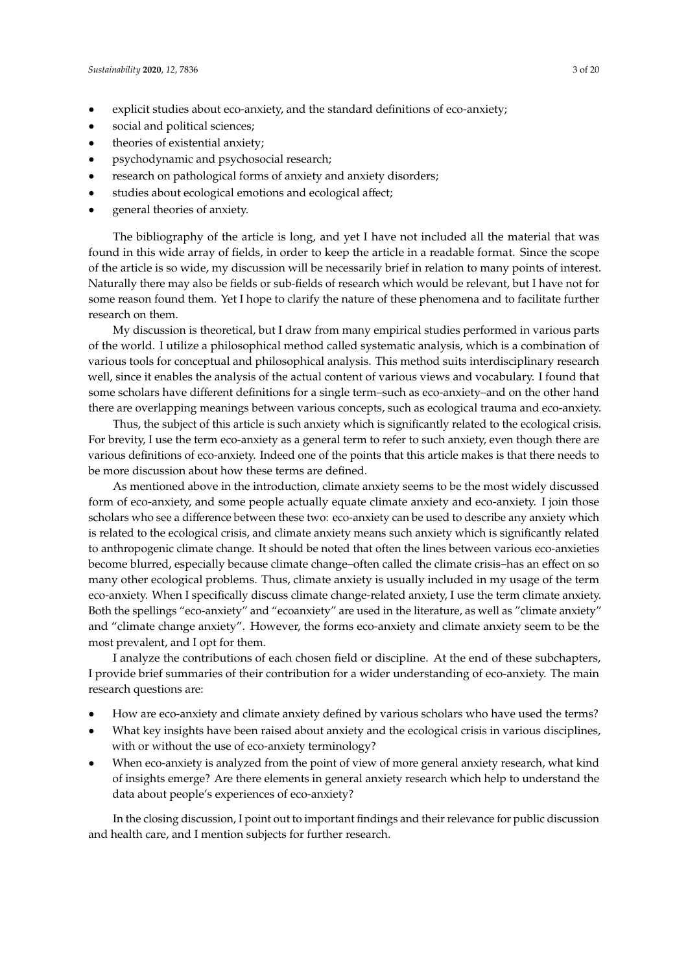- explicit studies about eco-anxiety, and the standard definitions of eco-anxiety;
- social and political sciences;
- theories of existential anxiety;
- psychodynamic and psychosocial research;
- research on pathological forms of anxiety and anxiety disorders;
- studies about ecological emotions and ecological affect;
- general theories of anxiety.

The bibliography of the article is long, and yet I have not included all the material that was found in this wide array of fields, in order to keep the article in a readable format. Since the scope of the article is so wide, my discussion will be necessarily brief in relation to many points of interest. Naturally there may also be fields or sub-fields of research which would be relevant, but I have not for some reason found them. Yet I hope to clarify the nature of these phenomena and to facilitate further research on them.

My discussion is theoretical, but I draw from many empirical studies performed in various parts of the world. I utilize a philosophical method called systematic analysis, which is a combination of various tools for conceptual and philosophical analysis. This method suits interdisciplinary research well, since it enables the analysis of the actual content of various views and vocabulary. I found that some scholars have different definitions for a single term–such as eco-anxiety–and on the other hand there are overlapping meanings between various concepts, such as ecological trauma and eco-anxiety.

Thus, the subject of this article is such anxiety which is significantly related to the ecological crisis. For brevity, I use the term eco-anxiety as a general term to refer to such anxiety, even though there are various definitions of eco-anxiety. Indeed one of the points that this article makes is that there needs to be more discussion about how these terms are defined.

As mentioned above in the introduction, climate anxiety seems to be the most widely discussed form of eco-anxiety, and some people actually equate climate anxiety and eco-anxiety. I join those scholars who see a difference between these two: eco-anxiety can be used to describe any anxiety which is related to the ecological crisis, and climate anxiety means such anxiety which is significantly related to anthropogenic climate change. It should be noted that often the lines between various eco-anxieties become blurred, especially because climate change–often called the climate crisis–has an effect on so many other ecological problems. Thus, climate anxiety is usually included in my usage of the term eco-anxiety. When I specifically discuss climate change-related anxiety, I use the term climate anxiety. Both the spellings "eco-anxiety" and "ecoanxiety" are used in the literature, as well as "climate anxiety" and "climate change anxiety". However, the forms eco-anxiety and climate anxiety seem to be the most prevalent, and I opt for them.

I analyze the contributions of each chosen field or discipline. At the end of these subchapters, I provide brief summaries of their contribution for a wider understanding of eco-anxiety. The main research questions are:

- How are eco-anxiety and climate anxiety defined by various scholars who have used the terms?
- What key insights have been raised about anxiety and the ecological crisis in various disciplines, with or without the use of eco-anxiety terminology?
- When eco-anxiety is analyzed from the point of view of more general anxiety research, what kind of insights emerge? Are there elements in general anxiety research which help to understand the data about people's experiences of eco-anxiety?

In the closing discussion, I point out to important findings and their relevance for public discussion and health care, and I mention subjects for further research.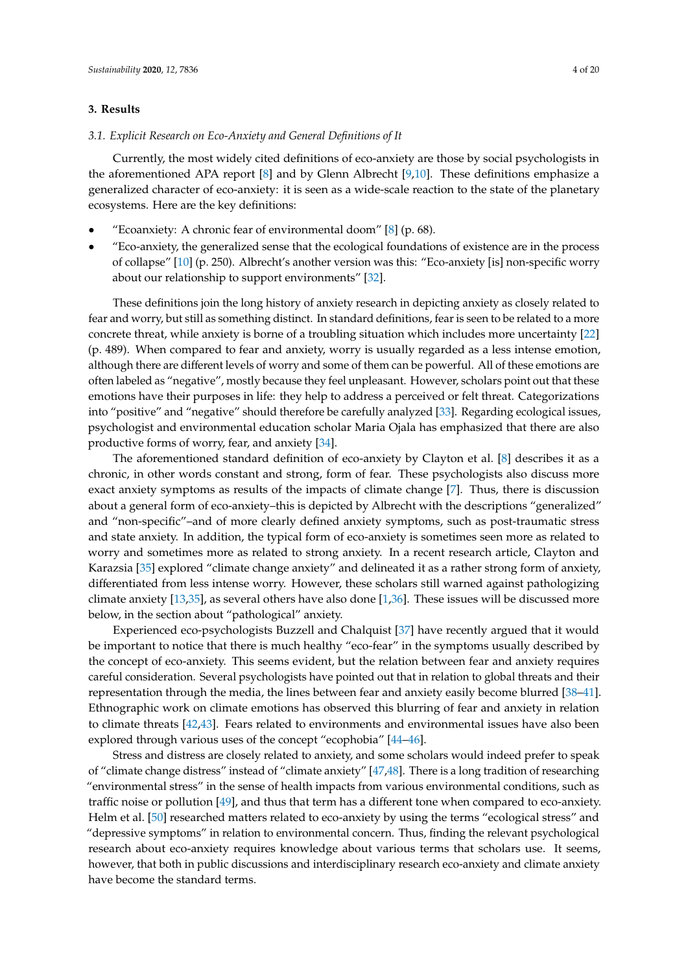## **3. Results**

## *3.1. Explicit Research on Eco-Anxiety and General Definitions of It*

Currently, the most widely cited definitions of eco-anxiety are those by social psychologists in the aforementioned APA report [\[8\]](#page-13-7) and by Glenn Albrecht [\[9](#page-13-8)[,10\]](#page-14-16). These definitions emphasize a generalized character of eco-anxiety: it is seen as a wide-scale reaction to the state of the planetary ecosystems. Here are the key definitions:

- "Ecoanxiety: A chronic fear of environmental doom"  $[8]$  (p. 68).
- "Eco-anxiety, the generalized sense that the ecological foundations of existence are in the process of collapse" [\[10\]](#page-14-16) (p. 250). Albrecht's another version was this: "Eco-anxiety [is] non-specific worry about our relationship to support environments" [\[32\]](#page-14-17).

These definitions join the long history of anxiety research in depicting anxiety as closely related to fear and worry, but still as something distinct. In standard definitions, fear is seen to be related to a more concrete threat, while anxiety is borne of a troubling situation which includes more uncertainty [\[22\]](#page-14-18) (p. 489). When compared to fear and anxiety, worry is usually regarded as a less intense emotion, although there are different levels of worry and some of them can be powerful. All of these emotions are often labeled as "negative", mostly because they feel unpleasant. However, scholars point out that these emotions have their purposes in life: they help to address a perceived or felt threat. Categorizations into "positive" and "negative" should therefore be carefully analyzed [\[33\]](#page-14-19). Regarding ecological issues, psychologist and environmental education scholar Maria Ojala has emphasized that there are also productive forms of worry, fear, and anxiety [\[34\]](#page-14-20).

The aforementioned standard definition of eco-anxiety by Clayton et al. [\[8\]](#page-13-7) describes it as a chronic, in other words constant and strong, form of fear. These psychologists also discuss more exact anxiety symptoms as results of the impacts of climate change [\[7\]](#page-13-6). Thus, there is discussion about a general form of eco-anxiety–this is depicted by Albrecht with the descriptions "generalized" and "non-specific"–and of more clearly defined anxiety symptoms, such as post-traumatic stress and state anxiety. In addition, the typical form of eco-anxiety is sometimes seen more as related to worry and sometimes more as related to strong anxiety. In a recent research article, Clayton and Karazsia [\[35\]](#page-14-21) explored "climate change anxiety" and delineated it as a rather strong form of anxiety, differentiated from less intense worry. However, these scholars still warned against pathologizing climate anxiety [\[13,](#page-14-2)[35\]](#page-14-21), as several others have also done [\[1](#page-13-0)[,36\]](#page-14-22). These issues will be discussed more below, in the section about "pathological" anxiety.

Experienced eco-psychologists Buzzell and Chalquist [\[37\]](#page-15-0) have recently argued that it would be important to notice that there is much healthy "eco-fear" in the symptoms usually described by the concept of eco-anxiety. This seems evident, but the relation between fear and anxiety requires careful consideration. Several psychologists have pointed out that in relation to global threats and their representation through the media, the lines between fear and anxiety easily become blurred [\[38–](#page-15-1)[41\]](#page-15-2). Ethnographic work on climate emotions has observed this blurring of fear and anxiety in relation to climate threats [\[42,](#page-15-3)[43\]](#page-15-4). Fears related to environments and environmental issues have also been explored through various uses of the concept "ecophobia" [\[44](#page-15-5)[–46\]](#page-15-6).

Stress and distress are closely related to anxiety, and some scholars would indeed prefer to speak of "climate change distress" instead of "climate anxiety" [\[47,](#page-15-7)[48\]](#page-15-8). There is a long tradition of researching "environmental stress" in the sense of health impacts from various environmental conditions, such as traffic noise or pollution [\[49\]](#page-15-9), and thus that term has a different tone when compared to eco-anxiety. Helm et al. [\[50\]](#page-15-10) researched matters related to eco-anxiety by using the terms "ecological stress" and "depressive symptoms" in relation to environmental concern. Thus, finding the relevant psychological research about eco-anxiety requires knowledge about various terms that scholars use. It seems, however, that both in public discussions and interdisciplinary research eco-anxiety and climate anxiety have become the standard terms.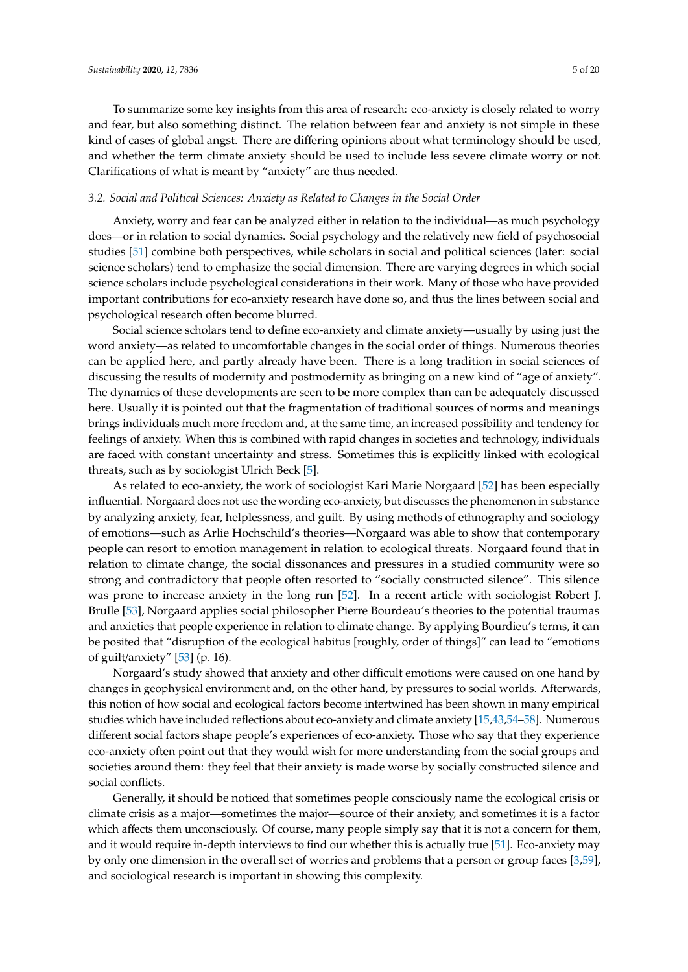To summarize some key insights from this area of research: eco-anxiety is closely related to worry and fear, but also something distinct. The relation between fear and anxiety is not simple in these kind of cases of global angst. There are differing opinions about what terminology should be used, and whether the term climate anxiety should be used to include less severe climate worry or not. Clarifications of what is meant by "anxiety" are thus needed.

#### *3.2. Social and Political Sciences: Anxiety as Related to Changes in the Social Order*

Anxiety, worry and fear can be analyzed either in relation to the individual—as much psychology does—or in relation to social dynamics. Social psychology and the relatively new field of psychosocial studies [\[51\]](#page-15-11) combine both perspectives, while scholars in social and political sciences (later: social science scholars) tend to emphasize the social dimension. There are varying degrees in which social science scholars include psychological considerations in their work. Many of those who have provided important contributions for eco-anxiety research have done so, and thus the lines between social and psychological research often become blurred.

Social science scholars tend to define eco-anxiety and climate anxiety—usually by using just the word anxiety—as related to uncomfortable changes in the social order of things. Numerous theories can be applied here, and partly already have been. There is a long tradition in social sciences of discussing the results of modernity and postmodernity as bringing on a new kind of "age of anxiety". The dynamics of these developments are seen to be more complex than can be adequately discussed here. Usually it is pointed out that the fragmentation of traditional sources of norms and meanings brings individuals much more freedom and, at the same time, an increased possibility and tendency for feelings of anxiety. When this is combined with rapid changes in societies and technology, individuals are faced with constant uncertainty and stress. Sometimes this is explicitly linked with ecological threats, such as by sociologist Ulrich Beck [\[5\]](#page-13-4).

As related to eco-anxiety, the work of sociologist Kari Marie Norgaard [\[52\]](#page-15-12) has been especially influential. Norgaard does not use the wording eco-anxiety, but discusses the phenomenon in substance by analyzing anxiety, fear, helplessness, and guilt. By using methods of ethnography and sociology of emotions—such as Arlie Hochschild's theories—Norgaard was able to show that contemporary people can resort to emotion management in relation to ecological threats. Norgaard found that in relation to climate change, the social dissonances and pressures in a studied community were so strong and contradictory that people often resorted to "socially constructed silence". This silence was prone to increase anxiety in the long run [\[52\]](#page-15-12). In a recent article with sociologist Robert J. Brulle [\[53\]](#page-15-13), Norgaard applies social philosopher Pierre Bourdeau's theories to the potential traumas and anxieties that people experience in relation to climate change. By applying Bourdieu's terms, it can be posited that "disruption of the ecological habitus [roughly, order of things]" can lead to "emotions of guilt/anxiety" [\[53\]](#page-15-13) (p. 16).

Norgaard's study showed that anxiety and other difficult emotions were caused on one hand by changes in geophysical environment and, on the other hand, by pressures to social worlds. Afterwards, this notion of how social and ecological factors become intertwined has been shown in many empirical studies which have included reflections about eco-anxiety and climate anxiety [\[15,](#page-14-23)[43,](#page-15-4)[54](#page-15-14)[–58\]](#page-15-15). Numerous different social factors shape people's experiences of eco-anxiety. Those who say that they experience eco-anxiety often point out that they would wish for more understanding from the social groups and societies around them: they feel that their anxiety is made worse by socially constructed silence and social conflicts.

Generally, it should be noticed that sometimes people consciously name the ecological crisis or climate crisis as a major—sometimes the major—source of their anxiety, and sometimes it is a factor which affects them unconsciously. Of course, many people simply say that it is not a concern for them, and it would require in-depth interviews to find our whether this is actually true [\[51\]](#page-15-11). Eco-anxiety may by only one dimension in the overall set of worries and problems that a person or group faces [\[3,](#page-13-2)[59\]](#page-15-16), and sociological research is important in showing this complexity.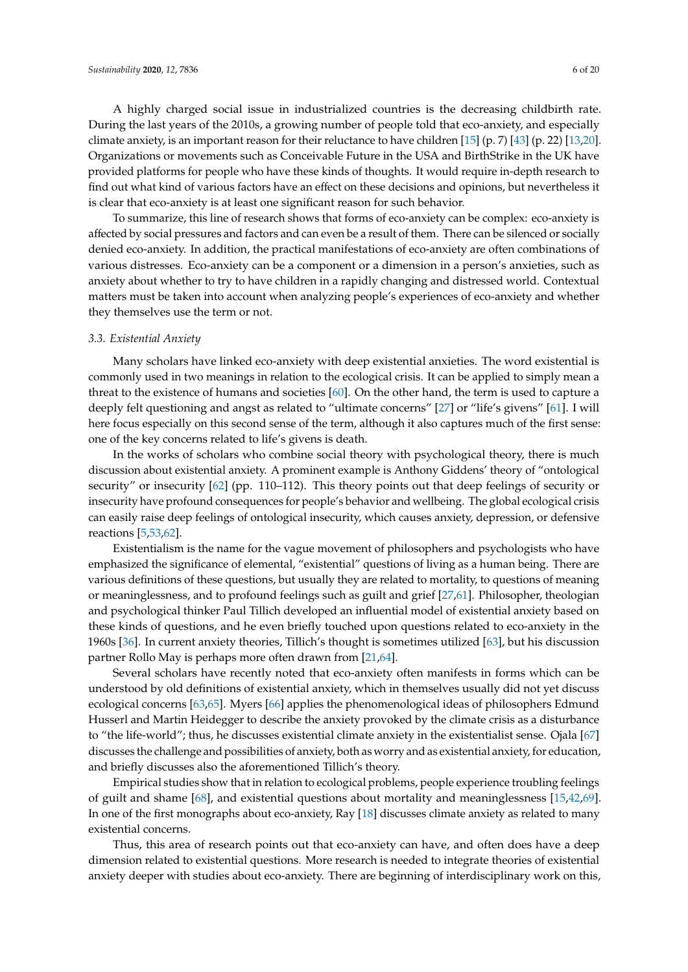A highly charged social issue in industrialized countries is the decreasing childbirth rate. During the last years of the 2010s, a growing number of people told that eco-anxiety, and especially climate anxiety, is an important reason for their reluctance to have children [\[15\]](#page-14-23) (p. 7) [\[43\]](#page-15-4) (p. 22) [\[13](#page-14-2)[,20\]](#page-14-6). Organizations or movements such as Conceivable Future in the USA and BirthStrike in the UK have provided platforms for people who have these kinds of thoughts. It would require in-depth research to find out what kind of various factors have an effect on these decisions and opinions, but nevertheless it is clear that eco-anxiety is at least one significant reason for such behavior.

To summarize, this line of research shows that forms of eco-anxiety can be complex: eco-anxiety is affected by social pressures and factors and can even be a result of them. There can be silenced or socially denied eco-anxiety. In addition, the practical manifestations of eco-anxiety are often combinations of various distresses. Eco-anxiety can be a component or a dimension in a person's anxieties, such as anxiety about whether to try to have children in a rapidly changing and distressed world. Contextual matters must be taken into account when analyzing people's experiences of eco-anxiety and whether they themselves use the term or not.

#### *3.3. Existential Anxiety*

Many scholars have linked eco-anxiety with deep existential anxieties. The word existential is commonly used in two meanings in relation to the ecological crisis. It can be applied to simply mean a threat to the existence of humans and societies [\[60\]](#page-15-17). On the other hand, the term is used to capture a deeply felt questioning and angst as related to "ultimate concerns" [\[27\]](#page-14-11) or "life's givens" [\[61\]](#page-15-18). I will here focus especially on this second sense of the term, although it also captures much of the first sense: one of the key concerns related to life's givens is death.

In the works of scholars who combine social theory with psychological theory, there is much discussion about existential anxiety. A prominent example is Anthony Giddens' theory of "ontological security" or insecurity [\[62\]](#page-16-0) (pp. 110–112). This theory points out that deep feelings of security or insecurity have profound consequences for people's behavior and wellbeing. The global ecological crisis can easily raise deep feelings of ontological insecurity, which causes anxiety, depression, or defensive reactions [\[5](#page-13-4)[,53](#page-15-13)[,62\]](#page-16-0).

Existentialism is the name for the vague movement of philosophers and psychologists who have emphasized the significance of elemental, "existential" questions of living as a human being. There are various definitions of these questions, but usually they are related to mortality, to questions of meaning or meaninglessness, and to profound feelings such as guilt and grief [\[27,](#page-14-11)[61\]](#page-15-18). Philosopher, theologian and psychological thinker Paul Tillich developed an influential model of existential anxiety based on these kinds of questions, and he even briefly touched upon questions related to eco-anxiety in the 1960s [\[36\]](#page-14-22). In current anxiety theories, Tillich's thought is sometimes utilized [\[63\]](#page-16-1), but his discussion partner Rollo May is perhaps more often drawn from [\[21](#page-14-7)[,64\]](#page-16-2).

Several scholars have recently noted that eco-anxiety often manifests in forms which can be understood by old definitions of existential anxiety, which in themselves usually did not yet discuss ecological concerns [\[63](#page-16-1)[,65\]](#page-16-3). Myers [\[66\]](#page-16-4) applies the phenomenological ideas of philosophers Edmund Husserl and Martin Heidegger to describe the anxiety provoked by the climate crisis as a disturbance to "the life-world"; thus, he discusses existential climate anxiety in the existentialist sense. Ojala [\[67\]](#page-16-5) discusses the challenge and possibilities of anxiety, both as worry and as existential anxiety, for education, and briefly discusses also the aforementioned Tillich's theory.

Empirical studies show that in relation to ecological problems, people experience troubling feelings of guilt and shame [\[68\]](#page-16-6), and existential questions about mortality and meaninglessness [\[15,](#page-14-23)[42,](#page-15-3)[69\]](#page-16-7). In one of the first monographs about eco-anxiety, Ray [\[18\]](#page-14-5) discusses climate anxiety as related to many existential concerns.

Thus, this area of research points out that eco-anxiety can have, and often does have a deep dimension related to existential questions. More research is needed to integrate theories of existential anxiety deeper with studies about eco-anxiety. There are beginning of interdisciplinary work on this,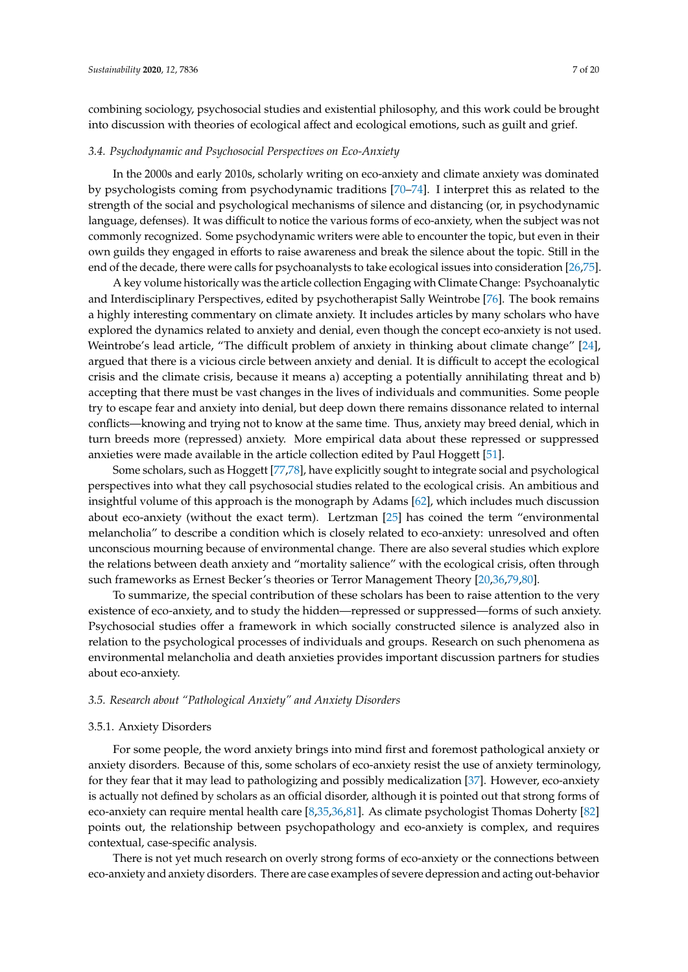combining sociology, psychosocial studies and existential philosophy, and this work could be brought into discussion with theories of ecological affect and ecological emotions, such as guilt and grief.

## *3.4. Psychodynamic and Psychosocial Perspectives on Eco-Anxiety*

In the 2000s and early 2010s, scholarly writing on eco-anxiety and climate anxiety was dominated by psychologists coming from psychodynamic traditions [\[70](#page-16-8)[–74\]](#page-16-9). I interpret this as related to the strength of the social and psychological mechanisms of silence and distancing (or, in psychodynamic language, defenses). It was difficult to notice the various forms of eco-anxiety, when the subject was not commonly recognized. Some psychodynamic writers were able to encounter the topic, but even in their own guilds they engaged in efforts to raise awareness and break the silence about the topic. Still in the end of the decade, there were calls for psychoanalysts to take ecological issues into consideration [\[26](#page-14-10)[,75\]](#page-16-10).

A key volume historically was the article collection Engaging with Climate Change: Psychoanalytic and Interdisciplinary Perspectives, edited by psychotherapist Sally Weintrobe [\[76\]](#page-16-11). The book remains a highly interesting commentary on climate anxiety. It includes articles by many scholars who have explored the dynamics related to anxiety and denial, even though the concept eco-anxiety is not used. Weintrobe's lead article, "The difficult problem of anxiety in thinking about climate change" [\[24\]](#page-14-9), argued that there is a vicious circle between anxiety and denial. It is difficult to accept the ecological crisis and the climate crisis, because it means a) accepting a potentially annihilating threat and b) accepting that there must be vast changes in the lives of individuals and communities. Some people try to escape fear and anxiety into denial, but deep down there remains dissonance related to internal conflicts—knowing and trying not to know at the same time. Thus, anxiety may breed denial, which in turn breeds more (repressed) anxiety. More empirical data about these repressed or suppressed anxieties were made available in the article collection edited by Paul Hoggett [\[51\]](#page-15-11).

Some scholars, such as Hoggett [\[77](#page-16-12)[,78\]](#page-16-13), have explicitly sought to integrate social and psychological perspectives into what they call psychosocial studies related to the ecological crisis. An ambitious and insightful volume of this approach is the monograph by Adams [\[62\]](#page-16-0), which includes much discussion about eco-anxiety (without the exact term). Lertzman [\[25\]](#page-14-24) has coined the term "environmental melancholia" to describe a condition which is closely related to eco-anxiety: unresolved and often unconscious mourning because of environmental change. There are also several studies which explore the relations between death anxiety and "mortality salience" with the ecological crisis, often through such frameworks as Ernest Becker's theories or Terror Management Theory [\[20,](#page-14-6)[36,](#page-14-22)[79,](#page-16-14)[80\]](#page-16-15).

To summarize, the special contribution of these scholars has been to raise attention to the very existence of eco-anxiety, and to study the hidden—repressed or suppressed—forms of such anxiety. Psychosocial studies offer a framework in which socially constructed silence is analyzed also in relation to the psychological processes of individuals and groups. Research on such phenomena as environmental melancholia and death anxieties provides important discussion partners for studies about eco-anxiety.

## *3.5. Research about "Pathological Anxiety" and Anxiety Disorders*

#### 3.5.1. Anxiety Disorders

For some people, the word anxiety brings into mind first and foremost pathological anxiety or anxiety disorders. Because of this, some scholars of eco-anxiety resist the use of anxiety terminology, for they fear that it may lead to pathologizing and possibly medicalization [\[37\]](#page-15-0). However, eco-anxiety is actually not defined by scholars as an official disorder, although it is pointed out that strong forms of eco-anxiety can require mental health care [\[8,](#page-13-7)[35,](#page-14-21)[36,](#page-14-22)[81\]](#page-16-16). As climate psychologist Thomas Doherty [\[82\]](#page-16-17) points out, the relationship between psychopathology and eco-anxiety is complex, and requires contextual, case-specific analysis.

There is not yet much research on overly strong forms of eco-anxiety or the connections between eco-anxiety and anxiety disorders. There are case examples of severe depression and acting out-behavior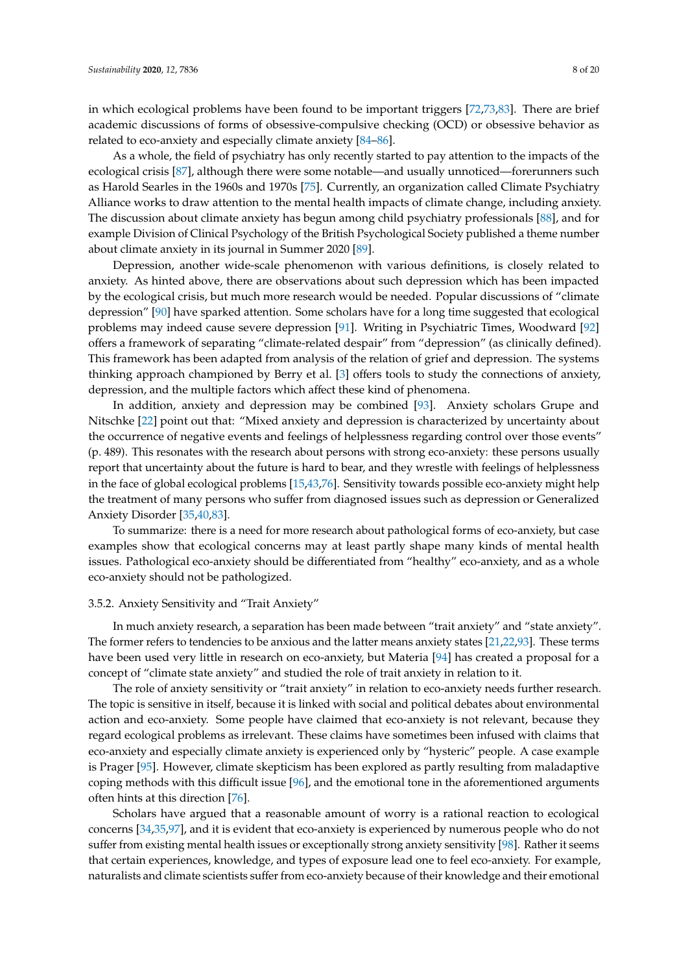in which ecological problems have been found to be important triggers [\[72,](#page-16-18)[73](#page-16-19)[,83\]](#page-16-20). There are brief academic discussions of forms of obsessive-compulsive checking (OCD) or obsessive behavior as related to eco-anxiety and especially climate anxiety [\[84](#page-16-21)[–86\]](#page-17-0).

As a whole, the field of psychiatry has only recently started to pay attention to the impacts of the ecological crisis [\[87\]](#page-17-1), although there were some notable—and usually unnoticed—forerunners such as Harold Searles in the 1960s and 1970s [\[75\]](#page-16-10). Currently, an organization called Climate Psychiatry Alliance works to draw attention to the mental health impacts of climate change, including anxiety. The discussion about climate anxiety has begun among child psychiatry professionals [\[88\]](#page-17-2), and for example Division of Clinical Psychology of the British Psychological Society published a theme number about climate anxiety in its journal in Summer 2020 [\[89\]](#page-17-3).

Depression, another wide-scale phenomenon with various definitions, is closely related to anxiety. As hinted above, there are observations about such depression which has been impacted by the ecological crisis, but much more research would be needed. Popular discussions of "climate depression" [\[90\]](#page-17-4) have sparked attention. Some scholars have for a long time suggested that ecological problems may indeed cause severe depression [\[91\]](#page-17-5). Writing in Psychiatric Times, Woodward [\[92\]](#page-17-6) offers a framework of separating "climate-related despair" from "depression" (as clinically defined). This framework has been adapted from analysis of the relation of grief and depression. The systems thinking approach championed by Berry et al. [\[3\]](#page-13-2) offers tools to study the connections of anxiety, depression, and the multiple factors which affect these kind of phenomena.

In addition, anxiety and depression may be combined [\[93\]](#page-17-7). Anxiety scholars Grupe and Nitschke [\[22\]](#page-14-18) point out that: "Mixed anxiety and depression is characterized by uncertainty about the occurrence of negative events and feelings of helplessness regarding control over those events" (p. 489). This resonates with the research about persons with strong eco-anxiety: these persons usually report that uncertainty about the future is hard to bear, and they wrestle with feelings of helplessness in the face of global ecological problems [\[15,](#page-14-23)[43](#page-15-4)[,76\]](#page-16-11). Sensitivity towards possible eco-anxiety might help the treatment of many persons who suffer from diagnosed issues such as depression or Generalized Anxiety Disorder [\[35](#page-14-21)[,40](#page-15-19)[,83\]](#page-16-20).

To summarize: there is a need for more research about pathological forms of eco-anxiety, but case examples show that ecological concerns may at least partly shape many kinds of mental health issues. Pathological eco-anxiety should be differentiated from "healthy" eco-anxiety, and as a whole eco-anxiety should not be pathologized.

#### 3.5.2. Anxiety Sensitivity and "Trait Anxiety"

In much anxiety research, a separation has been made between "trait anxiety" and "state anxiety". The former refers to tendencies to be anxious and the latter means anxiety states [\[21,](#page-14-7)[22](#page-14-18)[,93\]](#page-17-7). These terms have been used very little in research on eco-anxiety, but Materia [\[94\]](#page-17-8) has created a proposal for a concept of "climate state anxiety" and studied the role of trait anxiety in relation to it.

The role of anxiety sensitivity or "trait anxiety" in relation to eco-anxiety needs further research. The topic is sensitive in itself, because it is linked with social and political debates about environmental action and eco-anxiety. Some people have claimed that eco-anxiety is not relevant, because they regard ecological problems as irrelevant. These claims have sometimes been infused with claims that eco-anxiety and especially climate anxiety is experienced only by "hysteric" people. A case example is Prager [\[95\]](#page-17-9). However, climate skepticism has been explored as partly resulting from maladaptive coping methods with this difficult issue [\[96\]](#page-17-10), and the emotional tone in the aforementioned arguments often hints at this direction [\[76\]](#page-16-11).

Scholars have argued that a reasonable amount of worry is a rational reaction to ecological concerns [\[34,](#page-14-20)[35](#page-14-21)[,97\]](#page-17-11), and it is evident that eco-anxiety is experienced by numerous people who do not suffer from existing mental health issues or exceptionally strong anxiety sensitivity [\[98\]](#page-17-12). Rather it seems that certain experiences, knowledge, and types of exposure lead one to feel eco-anxiety. For example, naturalists and climate scientists suffer from eco-anxiety because of their knowledge and their emotional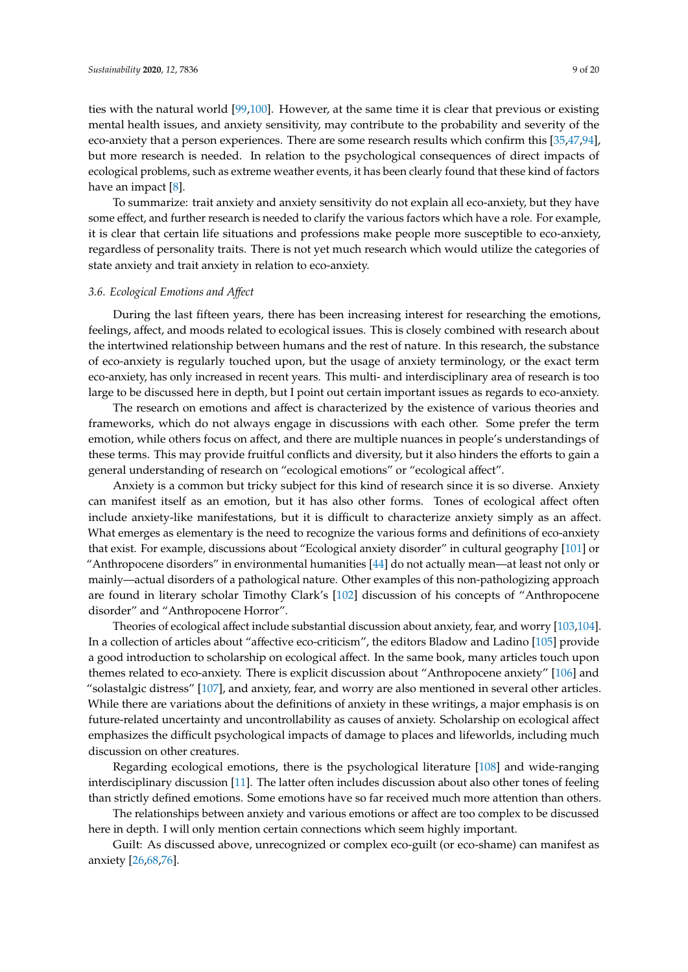ties with the natural world [\[99,](#page-17-13)[100\]](#page-17-14). However, at the same time it is clear that previous or existing mental health issues, and anxiety sensitivity, may contribute to the probability and severity of the eco-anxiety that a person experiences. There are some research results which confirm this [\[35,](#page-14-21)[47,](#page-15-7)[94\]](#page-17-8), but more research is needed. In relation to the psychological consequences of direct impacts of ecological problems, such as extreme weather events, it has been clearly found that these kind of factors have an impact [\[8\]](#page-13-7).

To summarize: trait anxiety and anxiety sensitivity do not explain all eco-anxiety, but they have some effect, and further research is needed to clarify the various factors which have a role. For example, it is clear that certain life situations and professions make people more susceptible to eco-anxiety, regardless of personality traits. There is not yet much research which would utilize the categories of state anxiety and trait anxiety in relation to eco-anxiety.

#### *3.6. Ecological Emotions and A*ff*ect*

During the last fifteen years, there has been increasing interest for researching the emotions, feelings, affect, and moods related to ecological issues. This is closely combined with research about the intertwined relationship between humans and the rest of nature. In this research, the substance of eco-anxiety is regularly touched upon, but the usage of anxiety terminology, or the exact term eco-anxiety, has only increased in recent years. This multi- and interdisciplinary area of research is too large to be discussed here in depth, but I point out certain important issues as regards to eco-anxiety.

The research on emotions and affect is characterized by the existence of various theories and frameworks, which do not always engage in discussions with each other. Some prefer the term emotion, while others focus on affect, and there are multiple nuances in people's understandings of these terms. This may provide fruitful conflicts and diversity, but it also hinders the efforts to gain a general understanding of research on "ecological emotions" or "ecological affect".

Anxiety is a common but tricky subject for this kind of research since it is so diverse. Anxiety can manifest itself as an emotion, but it has also other forms. Tones of ecological affect often include anxiety-like manifestations, but it is difficult to characterize anxiety simply as an affect. What emerges as elementary is the need to recognize the various forms and definitions of eco-anxiety that exist. For example, discussions about "Ecological anxiety disorder" in cultural geography [\[101\]](#page-17-15) or "Anthropocene disorders" in environmental humanities [\[44\]](#page-15-5) do not actually mean—at least not only or mainly—actual disorders of a pathological nature. Other examples of this non-pathologizing approach are found in literary scholar Timothy Clark's [\[102\]](#page-17-16) discussion of his concepts of "Anthropocene disorder" and "Anthropocene Horror".

Theories of ecological affect include substantial discussion about anxiety, fear, and worry [\[103](#page-17-17)[,104\]](#page-17-18). In a collection of articles about "affective eco-criticism", the editors Bladow and Ladino [\[105\]](#page-17-19) provide a good introduction to scholarship on ecological affect. In the same book, many articles touch upon themes related to eco-anxiety. There is explicit discussion about "Anthropocene anxiety" [\[106\]](#page-17-20) and "solastalgic distress" [\[107\]](#page-17-21), and anxiety, fear, and worry are also mentioned in several other articles. While there are variations about the definitions of anxiety in these writings, a major emphasis is on future-related uncertainty and uncontrollability as causes of anxiety. Scholarship on ecological affect emphasizes the difficult psychological impacts of damage to places and lifeworlds, including much discussion on other creatures.

Regarding ecological emotions, there is the psychological literature [\[108\]](#page-17-22) and wide-ranging interdisciplinary discussion [\[11\]](#page-14-0). The latter often includes discussion about also other tones of feeling than strictly defined emotions. Some emotions have so far received much more attention than others.

The relationships between anxiety and various emotions or affect are too complex to be discussed here in depth. I will only mention certain connections which seem highly important.

Guilt: As discussed above, unrecognized or complex eco-guilt (or eco-shame) can manifest as anxiety [\[26,](#page-14-10)[68,](#page-16-6)[76\]](#page-16-11).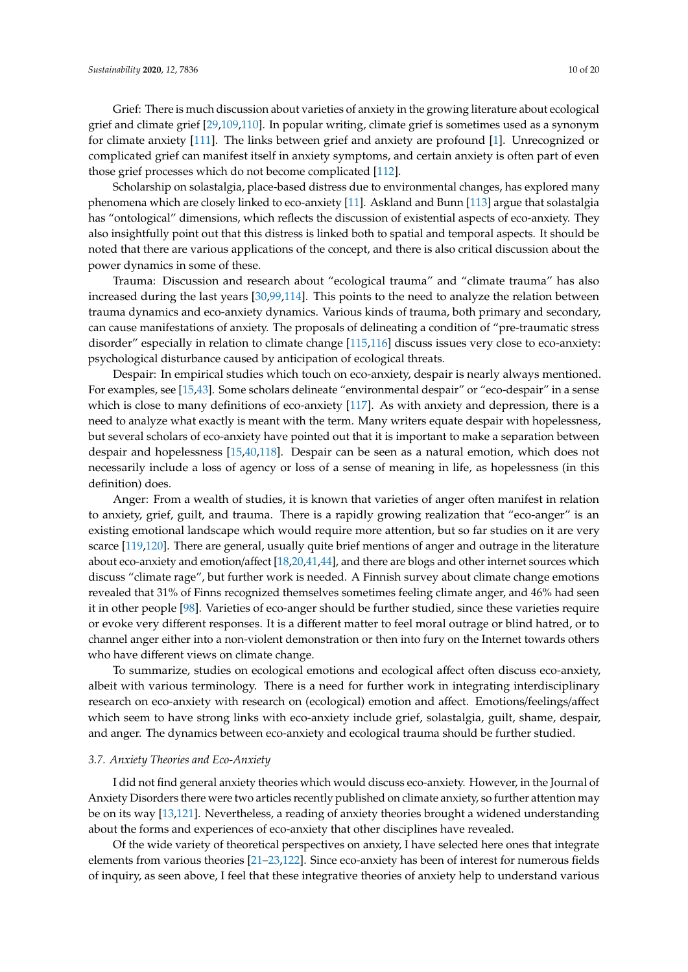Grief: There is much discussion about varieties of anxiety in the growing literature about ecological grief and climate grief [\[29](#page-14-13)[,109](#page-18-0)[,110\]](#page-18-1). In popular writing, climate grief is sometimes used as a synonym for climate anxiety [\[111\]](#page-18-2). The links between grief and anxiety are profound [\[1\]](#page-13-0). Unrecognized or complicated grief can manifest itself in anxiety symptoms, and certain anxiety is often part of even those grief processes which do not become complicated [\[112\]](#page-18-3).

Scholarship on solastalgia, place-based distress due to environmental changes, has explored many phenomena which are closely linked to eco-anxiety [\[11\]](#page-14-0). Askland and Bunn [\[113\]](#page-18-4) argue that solastalgia has "ontological" dimensions, which reflects the discussion of existential aspects of eco-anxiety. They also insightfully point out that this distress is linked both to spatial and temporal aspects. It should be noted that there are various applications of the concept, and there is also critical discussion about the power dynamics in some of these.

Trauma: Discussion and research about "ecological trauma" and "climate trauma" has also increased during the last years [\[30](#page-14-14)[,99](#page-17-13)[,114\]](#page-18-5). This points to the need to analyze the relation between trauma dynamics and eco-anxiety dynamics. Various kinds of trauma, both primary and secondary, can cause manifestations of anxiety. The proposals of delineating a condition of "pre-traumatic stress disorder" especially in relation to climate change [\[115,](#page-18-6)[116\]](#page-18-7) discuss issues very close to eco-anxiety: psychological disturbance caused by anticipation of ecological threats.

Despair: In empirical studies which touch on eco-anxiety, despair is nearly always mentioned. For examples, see [\[15](#page-14-23)[,43\]](#page-15-4). Some scholars delineate "environmental despair" or "eco-despair" in a sense which is close to many definitions of eco-anxiety [\[117\]](#page-18-8). As with anxiety and depression, there is a need to analyze what exactly is meant with the term. Many writers equate despair with hopelessness, but several scholars of eco-anxiety have pointed out that it is important to make a separation between despair and hopelessness [\[15](#page-14-23)[,40,](#page-15-19)[118\]](#page-18-9). Despair can be seen as a natural emotion, which does not necessarily include a loss of agency or loss of a sense of meaning in life, as hopelessness (in this definition) does.

Anger: From a wealth of studies, it is known that varieties of anger often manifest in relation to anxiety, grief, guilt, and trauma. There is a rapidly growing realization that "eco-anger" is an existing emotional landscape which would require more attention, but so far studies on it are very scarce [\[119,](#page-18-10)[120\]](#page-18-11). There are general, usually quite brief mentions of anger and outrage in the literature about eco-anxiety and emotion/affect [\[18,](#page-14-5)[20,](#page-14-6)[41](#page-15-2)[,44\]](#page-15-5), and there are blogs and other internet sources which discuss "climate rage", but further work is needed. A Finnish survey about climate change emotions revealed that 31% of Finns recognized themselves sometimes feeling climate anger, and 46% had seen it in other people [\[98\]](#page-17-12). Varieties of eco-anger should be further studied, since these varieties require or evoke very different responses. It is a different matter to feel moral outrage or blind hatred, or to channel anger either into a non-violent demonstration or then into fury on the Internet towards others who have different views on climate change.

To summarize, studies on ecological emotions and ecological affect often discuss eco-anxiety, albeit with various terminology. There is a need for further work in integrating interdisciplinary research on eco-anxiety with research on (ecological) emotion and affect. Emotions/feelings/affect which seem to have strong links with eco-anxiety include grief, solastalgia, guilt, shame, despair, and anger. The dynamics between eco-anxiety and ecological trauma should be further studied.

#### *3.7. Anxiety Theories and Eco-Anxiety*

I did not find general anxiety theories which would discuss eco-anxiety. However, in the Journal of Anxiety Disorders there were two articles recently published on climate anxiety, so further attention may be on its way [\[13,](#page-14-2)[121\]](#page-18-12). Nevertheless, a reading of anxiety theories brought a widened understanding about the forms and experiences of eco-anxiety that other disciplines have revealed.

Of the wide variety of theoretical perspectives on anxiety, I have selected here ones that integrate elements from various theories [\[21](#page-14-7)[–23,](#page-14-8)[122\]](#page-18-13). Since eco-anxiety has been of interest for numerous fields of inquiry, as seen above, I feel that these integrative theories of anxiety help to understand various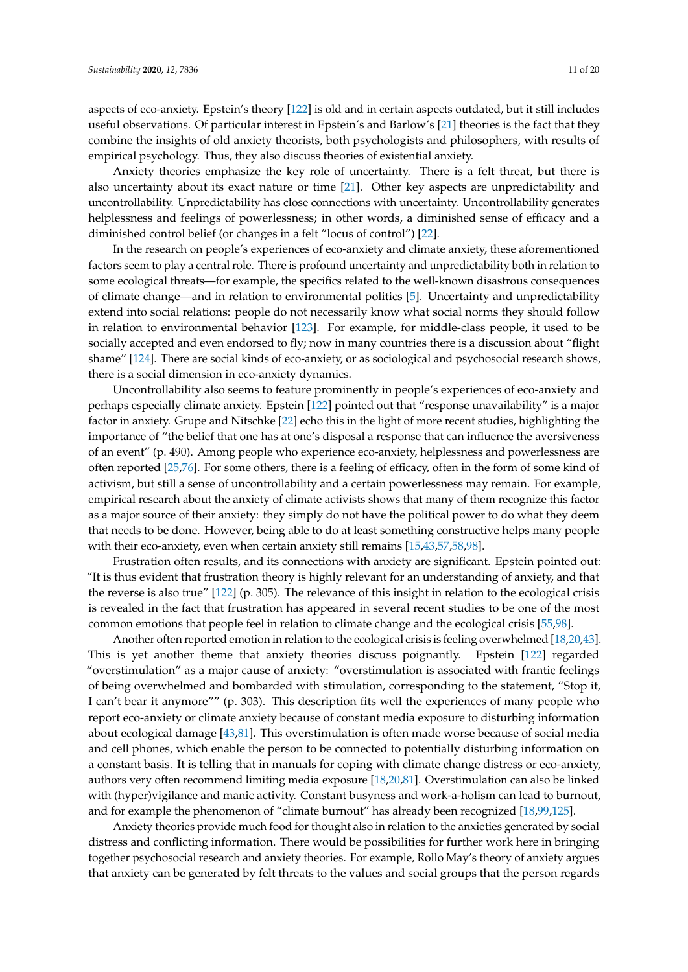aspects of eco-anxiety. Epstein's theory [\[122\]](#page-18-13) is old and in certain aspects outdated, but it still includes useful observations. Of particular interest in Epstein's and Barlow's [\[21\]](#page-14-7) theories is the fact that they combine the insights of old anxiety theorists, both psychologists and philosophers, with results of empirical psychology. Thus, they also discuss theories of existential anxiety.

Anxiety theories emphasize the key role of uncertainty. There is a felt threat, but there is also uncertainty about its exact nature or time [\[21\]](#page-14-7). Other key aspects are unpredictability and uncontrollability. Unpredictability has close connections with uncertainty. Uncontrollability generates helplessness and feelings of powerlessness; in other words, a diminished sense of efficacy and a diminished control belief (or changes in a felt "locus of control") [\[22\]](#page-14-18).

In the research on people's experiences of eco-anxiety and climate anxiety, these aforementioned factors seem to play a central role. There is profound uncertainty and unpredictability both in relation to some ecological threats—for example, the specifics related to the well-known disastrous consequences of climate change—and in relation to environmental politics [\[5\]](#page-13-4). Uncertainty and unpredictability extend into social relations: people do not necessarily know what social norms they should follow in relation to environmental behavior [\[123\]](#page-18-14). For example, for middle-class people, it used to be socially accepted and even endorsed to fly; now in many countries there is a discussion about "flight shame" [\[124\]](#page-18-15). There are social kinds of eco-anxiety, or as sociological and psychosocial research shows, there is a social dimension in eco-anxiety dynamics.

Uncontrollability also seems to feature prominently in people's experiences of eco-anxiety and perhaps especially climate anxiety. Epstein [\[122\]](#page-18-13) pointed out that "response unavailability" is a major factor in anxiety. Grupe and Nitschke [\[22\]](#page-14-18) echo this in the light of more recent studies, highlighting the importance of "the belief that one has at one's disposal a response that can influence the aversiveness of an event" (p. 490). Among people who experience eco-anxiety, helplessness and powerlessness are often reported [\[25,](#page-14-24)[76\]](#page-16-11). For some others, there is a feeling of efficacy, often in the form of some kind of activism, but still a sense of uncontrollability and a certain powerlessness may remain. For example, empirical research about the anxiety of climate activists shows that many of them recognize this factor as a major source of their anxiety: they simply do not have the political power to do what they deem that needs to be done. However, being able to do at least something constructive helps many people with their eco-anxiety, even when certain anxiety still remains [\[15](#page-14-23)[,43](#page-15-4)[,57](#page-15-20)[,58](#page-15-15)[,98\]](#page-17-12).

Frustration often results, and its connections with anxiety are significant. Epstein pointed out: "It is thus evident that frustration theory is highly relevant for an understanding of anxiety, and that the reverse is also true" [\[122\]](#page-18-13) (p. 305). The relevance of this insight in relation to the ecological crisis is revealed in the fact that frustration has appeared in several recent studies to be one of the most common emotions that people feel in relation to climate change and the ecological crisis [\[55](#page-15-21)[,98\]](#page-17-12).

Another often reported emotion in relation to the ecological crisis is feeling overwhelmed [\[18](#page-14-5)[,20](#page-14-6)[,43\]](#page-15-4). This is yet another theme that anxiety theories discuss poignantly. Epstein [\[122\]](#page-18-13) regarded "overstimulation" as a major cause of anxiety: "overstimulation is associated with frantic feelings of being overwhelmed and bombarded with stimulation, corresponding to the statement, "Stop it, I can't bear it anymore"" (p. 303). This description fits well the experiences of many people who report eco-anxiety or climate anxiety because of constant media exposure to disturbing information about ecological damage [\[43](#page-15-4)[,81\]](#page-16-16). This overstimulation is often made worse because of social media and cell phones, which enable the person to be connected to potentially disturbing information on a constant basis. It is telling that in manuals for coping with climate change distress or eco-anxiety, authors very often recommend limiting media exposure [\[18](#page-14-5)[,20](#page-14-6)[,81\]](#page-16-16). Overstimulation can also be linked with (hyper)vigilance and manic activity. Constant busyness and work-a-holism can lead to burnout, and for example the phenomenon of "climate burnout" has already been recognized [\[18](#page-14-5)[,99](#page-17-13)[,125\]](#page-18-16).

Anxiety theories provide much food for thought also in relation to the anxieties generated by social distress and conflicting information. There would be possibilities for further work here in bringing together psychosocial research and anxiety theories. For example, Rollo May's theory of anxiety argues that anxiety can be generated by felt threats to the values and social groups that the person regards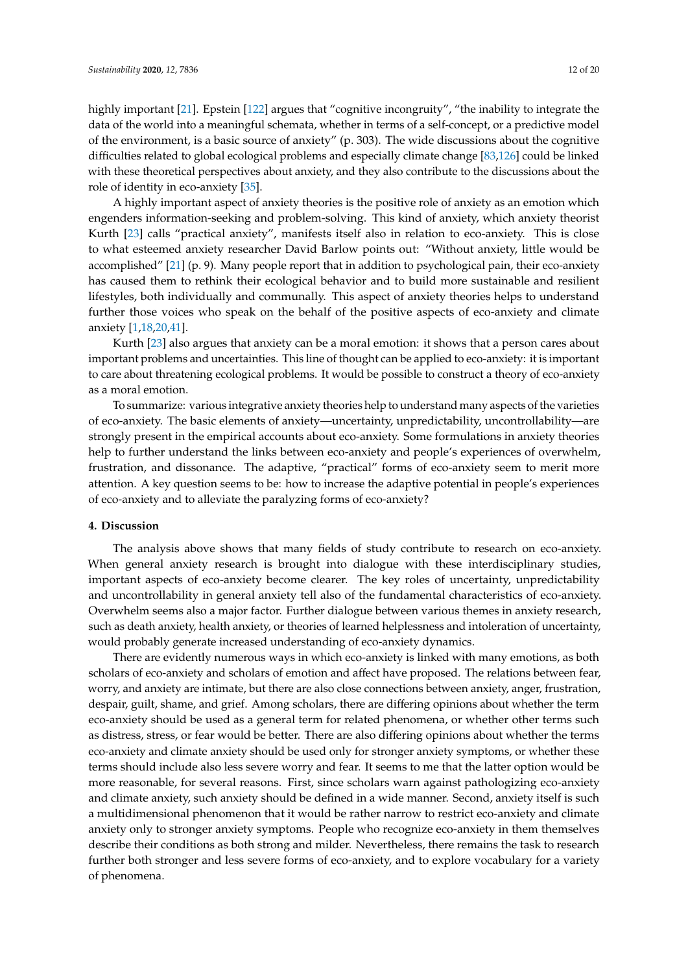highly important [\[21\]](#page-14-7). Epstein [\[122\]](#page-18-13) argues that "cognitive incongruity", "the inability to integrate the data of the world into a meaningful schemata, whether in terms of a self-concept, or a predictive model of the environment, is a basic source of anxiety" (p. 303). The wide discussions about the cognitive difficulties related to global ecological problems and especially climate change [\[83](#page-16-20)[,126\]](#page-18-17) could be linked with these theoretical perspectives about anxiety, and they also contribute to the discussions about the role of identity in eco-anxiety [\[35\]](#page-14-21).

A highly important aspect of anxiety theories is the positive role of anxiety as an emotion which engenders information-seeking and problem-solving. This kind of anxiety, which anxiety theorist Kurth [\[23\]](#page-14-8) calls "practical anxiety", manifests itself also in relation to eco-anxiety. This is close to what esteemed anxiety researcher David Barlow points out: "Without anxiety, little would be accomplished" [\[21\]](#page-14-7) (p. 9). Many people report that in addition to psychological pain, their eco-anxiety has caused them to rethink their ecological behavior and to build more sustainable and resilient lifestyles, both individually and communally. This aspect of anxiety theories helps to understand further those voices who speak on the behalf of the positive aspects of eco-anxiety and climate anxiety [\[1,](#page-13-0)[18,](#page-14-5)[20,](#page-14-6)[41\]](#page-15-2).

Kurth [\[23\]](#page-14-8) also argues that anxiety can be a moral emotion: it shows that a person cares about important problems and uncertainties. This line of thought can be applied to eco-anxiety: it is important to care about threatening ecological problems. It would be possible to construct a theory of eco-anxiety as a moral emotion.

To summarize: various integrative anxiety theories help to understand many aspects of the varieties of eco-anxiety. The basic elements of anxiety—uncertainty, unpredictability, uncontrollability—are strongly present in the empirical accounts about eco-anxiety. Some formulations in anxiety theories help to further understand the links between eco-anxiety and people's experiences of overwhelm, frustration, and dissonance. The adaptive, "practical" forms of eco-anxiety seem to merit more attention. A key question seems to be: how to increase the adaptive potential in people's experiences of eco-anxiety and to alleviate the paralyzing forms of eco-anxiety?

#### **4. Discussion**

The analysis above shows that many fields of study contribute to research on eco-anxiety. When general anxiety research is brought into dialogue with these interdisciplinary studies, important aspects of eco-anxiety become clearer. The key roles of uncertainty, unpredictability and uncontrollability in general anxiety tell also of the fundamental characteristics of eco-anxiety. Overwhelm seems also a major factor. Further dialogue between various themes in anxiety research, such as death anxiety, health anxiety, or theories of learned helplessness and intoleration of uncertainty, would probably generate increased understanding of eco-anxiety dynamics.

There are evidently numerous ways in which eco-anxiety is linked with many emotions, as both scholars of eco-anxiety and scholars of emotion and affect have proposed. The relations between fear, worry, and anxiety are intimate, but there are also close connections between anxiety, anger, frustration, despair, guilt, shame, and grief. Among scholars, there are differing opinions about whether the term eco-anxiety should be used as a general term for related phenomena, or whether other terms such as distress, stress, or fear would be better. There are also differing opinions about whether the terms eco-anxiety and climate anxiety should be used only for stronger anxiety symptoms, or whether these terms should include also less severe worry and fear. It seems to me that the latter option would be more reasonable, for several reasons. First, since scholars warn against pathologizing eco-anxiety and climate anxiety, such anxiety should be defined in a wide manner. Second, anxiety itself is such a multidimensional phenomenon that it would be rather narrow to restrict eco-anxiety and climate anxiety only to stronger anxiety symptoms. People who recognize eco-anxiety in them themselves describe their conditions as both strong and milder. Nevertheless, there remains the task to research further both stronger and less severe forms of eco-anxiety, and to explore vocabulary for a variety of phenomena.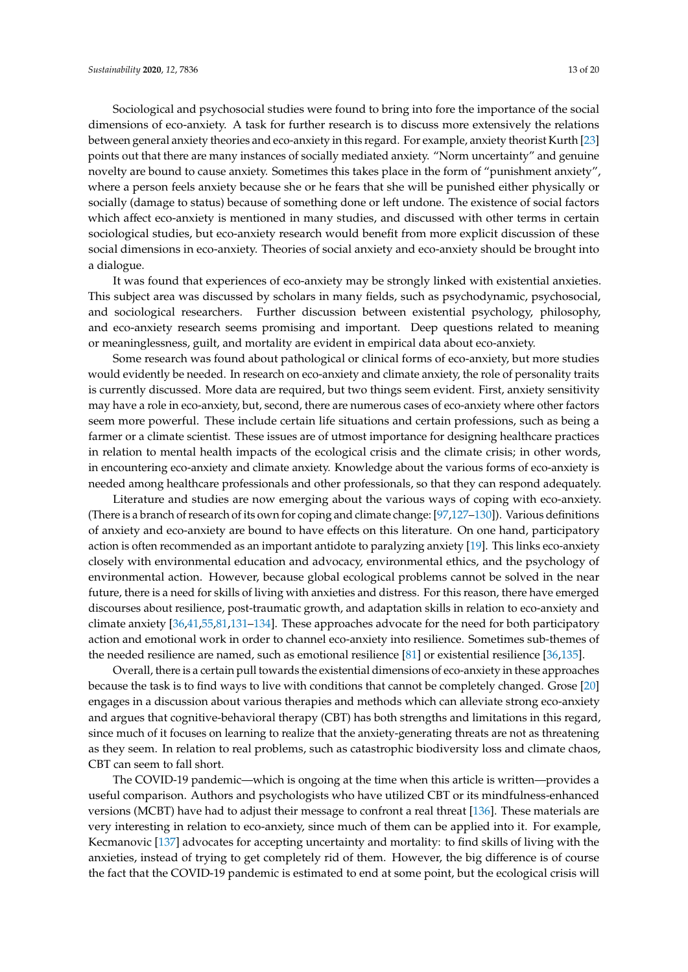Sociological and psychosocial studies were found to bring into fore the importance of the social dimensions of eco-anxiety. A task for further research is to discuss more extensively the relations between general anxiety theories and eco-anxiety in this regard. For example, anxiety theorist Kurth [\[23\]](#page-14-8) points out that there are many instances of socially mediated anxiety. "Norm uncertainty" and genuine novelty are bound to cause anxiety. Sometimes this takes place in the form of "punishment anxiety", where a person feels anxiety because she or he fears that she will be punished either physically or socially (damage to status) because of something done or left undone. The existence of social factors which affect eco-anxiety is mentioned in many studies, and discussed with other terms in certain sociological studies, but eco-anxiety research would benefit from more explicit discussion of these social dimensions in eco-anxiety. Theories of social anxiety and eco-anxiety should be brought into a dialogue.

It was found that experiences of eco-anxiety may be strongly linked with existential anxieties. This subject area was discussed by scholars in many fields, such as psychodynamic, psychosocial, and sociological researchers. Further discussion between existential psychology, philosophy, and eco-anxiety research seems promising and important. Deep questions related to meaning or meaninglessness, guilt, and mortality are evident in empirical data about eco-anxiety.

Some research was found about pathological or clinical forms of eco-anxiety, but more studies would evidently be needed. In research on eco-anxiety and climate anxiety, the role of personality traits is currently discussed. More data are required, but two things seem evident. First, anxiety sensitivity may have a role in eco-anxiety, but, second, there are numerous cases of eco-anxiety where other factors seem more powerful. These include certain life situations and certain professions, such as being a farmer or a climate scientist. These issues are of utmost importance for designing healthcare practices in relation to mental health impacts of the ecological crisis and the climate crisis; in other words, in encountering eco-anxiety and climate anxiety. Knowledge about the various forms of eco-anxiety is needed among healthcare professionals and other professionals, so that they can respond adequately.

Literature and studies are now emerging about the various ways of coping with eco-anxiety. (There is a branch of research of its own for coping and climate change: [\[97](#page-17-11)[,127–](#page-18-18)[130\]](#page-18-19)). Various definitions of anxiety and eco-anxiety are bound to have effects on this literature. On one hand, participatory action is often recommended as an important antidote to paralyzing anxiety [\[19\]](#page-14-25). This links eco-anxiety closely with environmental education and advocacy, environmental ethics, and the psychology of environmental action. However, because global ecological problems cannot be solved in the near future, there is a need for skills of living with anxieties and distress. For this reason, there have emerged discourses about resilience, post-traumatic growth, and adaptation skills in relation to eco-anxiety and climate anxiety [\[36,](#page-14-22)[41,](#page-15-2)[55,](#page-15-21)[81,](#page-16-16)[131–](#page-18-20)[134\]](#page-19-0). These approaches advocate for the need for both participatory action and emotional work in order to channel eco-anxiety into resilience. Sometimes sub-themes of the needed resilience are named, such as emotional resilience [\[81\]](#page-16-16) or existential resilience [\[36,](#page-14-22)[135\]](#page-19-1).

Overall, there is a certain pull towards the existential dimensions of eco-anxiety in these approaches because the task is to find ways to live with conditions that cannot be completely changed. Grose [\[20\]](#page-14-6) engages in a discussion about various therapies and methods which can alleviate strong eco-anxiety and argues that cognitive-behavioral therapy (CBT) has both strengths and limitations in this regard, since much of it focuses on learning to realize that the anxiety-generating threats are not as threatening as they seem. In relation to real problems, such as catastrophic biodiversity loss and climate chaos, CBT can seem to fall short.

The COVID-19 pandemic—which is ongoing at the time when this article is written—provides a useful comparison. Authors and psychologists who have utilized CBT or its mindfulness-enhanced versions (MCBT) have had to adjust their message to confront a real threat [\[136\]](#page-19-2). These materials are very interesting in relation to eco-anxiety, since much of them can be applied into it. For example, Kecmanovic [\[137\]](#page-19-3) advocates for accepting uncertainty and mortality: to find skills of living with the anxieties, instead of trying to get completely rid of them. However, the big difference is of course the fact that the COVID-19 pandemic is estimated to end at some point, but the ecological crisis will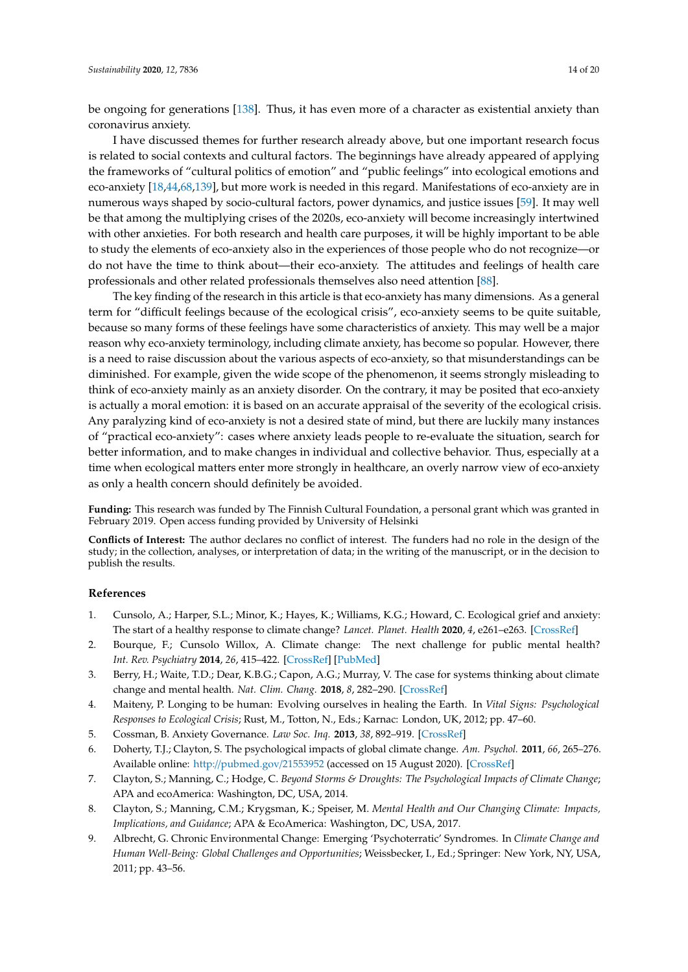be ongoing for generations [\[138\]](#page-19-4). Thus, it has even more of a character as existential anxiety than coronavirus anxiety.

I have discussed themes for further research already above, but one important research focus is related to social contexts and cultural factors. The beginnings have already appeared of applying the frameworks of "cultural politics of emotion" and "public feelings" into ecological emotions and eco-anxiety [\[18](#page-14-5)[,44](#page-15-5)[,68](#page-16-6)[,139\]](#page-19-5), but more work is needed in this regard. Manifestations of eco-anxiety are in numerous ways shaped by socio-cultural factors, power dynamics, and justice issues [\[59\]](#page-15-16). It may well be that among the multiplying crises of the 2020s, eco-anxiety will become increasingly intertwined with other anxieties. For both research and health care purposes, it will be highly important to be able to study the elements of eco-anxiety also in the experiences of those people who do not recognize—or do not have the time to think about—their eco-anxiety. The attitudes and feelings of health care professionals and other related professionals themselves also need attention [\[88\]](#page-17-2).

The key finding of the research in this article is that eco-anxiety has many dimensions. As a general term for "difficult feelings because of the ecological crisis", eco-anxiety seems to be quite suitable, because so many forms of these feelings have some characteristics of anxiety. This may well be a major reason why eco-anxiety terminology, including climate anxiety, has become so popular. However, there is a need to raise discussion about the various aspects of eco-anxiety, so that misunderstandings can be diminished. For example, given the wide scope of the phenomenon, it seems strongly misleading to think of eco-anxiety mainly as an anxiety disorder. On the contrary, it may be posited that eco-anxiety is actually a moral emotion: it is based on an accurate appraisal of the severity of the ecological crisis. Any paralyzing kind of eco-anxiety is not a desired state of mind, but there are luckily many instances of "practical eco-anxiety": cases where anxiety leads people to re-evaluate the situation, search for better information, and to make changes in individual and collective behavior. Thus, especially at a time when ecological matters enter more strongly in healthcare, an overly narrow view of eco-anxiety as only a health concern should definitely be avoided.

**Funding:** This research was funded by The Finnish Cultural Foundation, a personal grant which was granted in February 2019. Open access funding provided by University of Helsinki

**Conflicts of Interest:** The author declares no conflict of interest. The funders had no role in the design of the study; in the collection, analyses, or interpretation of data; in the writing of the manuscript, or in the decision to publish the results.

# **References**

- <span id="page-13-0"></span>1. Cunsolo, A.; Harper, S.L.; Minor, K.; Hayes, K.; Williams, K.G.; Howard, C. Ecological grief and anxiety: The start of a healthy response to climate change? *Lancet. Planet. Health* **2020**, *4*, e261–e263. [\[CrossRef\]](http://dx.doi.org/10.1016/S2542-5196(20)30144-3)
- <span id="page-13-1"></span>2. Bourque, F.; Cunsolo Willox, A. Climate change: The next challenge for public mental health? *Int. Rev. Psychiatry* **2014**, *26*, 415–422. [\[CrossRef\]](http://dx.doi.org/10.3109/09540261.2014.925851) [\[PubMed\]](http://www.ncbi.nlm.nih.gov/pubmed/25137107)
- <span id="page-13-2"></span>3. Berry, H.; Waite, T.D.; Dear, K.B.G.; Capon, A.G.; Murray, V. The case for systems thinking about climate change and mental health. *Nat. Clim. Chang.* **2018**, *8*, 282–290. [\[CrossRef\]](http://dx.doi.org/10.1038/s41558-018-0102-4)
- <span id="page-13-3"></span>4. Maiteny, P. Longing to be human: Evolving ourselves in healing the Earth. In *Vital Signs: Psychological Responses to Ecological Crisis*; Rust, M., Totton, N., Eds.; Karnac: London, UK, 2012; pp. 47–60.
- <span id="page-13-4"></span>5. Cossman, B. Anxiety Governance. *Law Soc. Inq.* **2013**, *38*, 892–919. [\[CrossRef\]](http://dx.doi.org/10.1111/lsi.12027)
- <span id="page-13-5"></span>6. Doherty, T.J.; Clayton, S. The psychological impacts of global climate change. *Am. Psychol.* **2011**, *66*, 265–276. Available online: http://[pubmed.gov](http://pubmed.gov/21553952)/21553952 (accessed on 15 August 2020). [\[CrossRef\]](http://dx.doi.org/10.1037/a0023141)
- <span id="page-13-6"></span>7. Clayton, S.; Manning, C.; Hodge, C. *Beyond Storms & Droughts: The Psychological Impacts of Climate Change*; APA and ecoAmerica: Washington, DC, USA, 2014.
- <span id="page-13-7"></span>8. Clayton, S.; Manning, C.M.; Krygsman, K.; Speiser, M. *Mental Health and Our Changing Climate: Impacts, Implications, and Guidance*; APA & EcoAmerica: Washington, DC, USA, 2017.
- <span id="page-13-8"></span>9. Albrecht, G. Chronic Environmental Change: Emerging 'Psychoterratic' Syndromes. In *Climate Change and Human Well-Being: Global Challenges and Opportunities*; Weissbecker, I., Ed.; Springer: New York, NY, USA, 2011; pp. 43–56.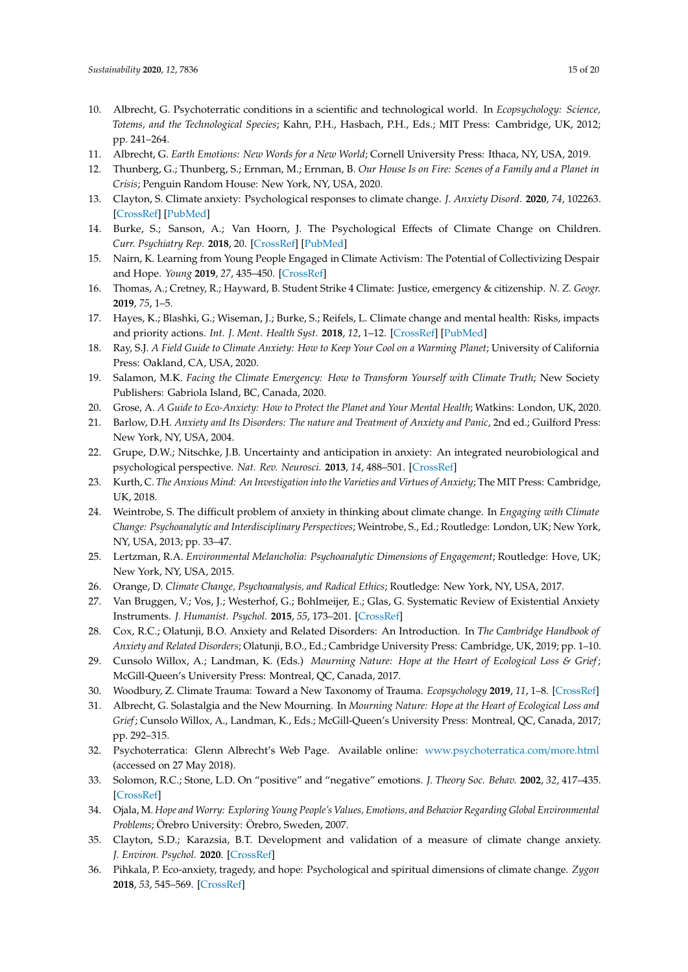- <span id="page-14-16"></span>10. Albrecht, G. Psychoterratic conditions in a scientific and technological world. In *Ecopsychology: Science, Totems, and the Technological Species*; Kahn, P.H., Hasbach, P.H., Eds.; MIT Press: Cambridge, UK, 2012; pp. 241–264.
- <span id="page-14-0"></span>11. Albrecht, G. *Earth Emotions: New Words for a New World*; Cornell University Press: Ithaca, NY, USA, 2019.
- <span id="page-14-1"></span>12. Thunberg, G.; Thunberg, S.; Ernman, M.; Ernman, B. *Our House Is on Fire: Scenes of a Family and a Planet in Crisis*; Penguin Random House: New York, NY, USA, 2020.
- <span id="page-14-2"></span>13. Clayton, S. Climate anxiety: Psychological responses to climate change. *J. Anxiety Disord.* **2020**, *74*, 102263. [\[CrossRef\]](http://dx.doi.org/10.1016/j.janxdis.2020.102263) [\[PubMed\]](http://www.ncbi.nlm.nih.gov/pubmed/32623280)
- 14. Burke, S.; Sanson, A.; Van Hoorn, J. The Psychological Effects of Climate Change on Children. *Curr. Psychiatry Rep.* **2018**, 20. [\[CrossRef\]](http://dx.doi.org/10.1007/s11920-018-0896-9) [\[PubMed\]](http://www.ncbi.nlm.nih.gov/pubmed/29637319)
- <span id="page-14-23"></span>15. Nairn, K. Learning from Young People Engaged in Climate Activism: The Potential of Collectivizing Despair and Hope. *Young* **2019**, *27*, 435–450. [\[CrossRef\]](http://dx.doi.org/10.1177/1103308818817603)
- <span id="page-14-3"></span>16. Thomas, A.; Cretney, R.; Hayward, B. Student Strike 4 Climate: Justice, emergency & citizenship. *N. Z. Geogr.* **2019**, *75*, 1–5.
- <span id="page-14-4"></span>17. Hayes, K.; Blashki, G.; Wiseman, J.; Burke, S.; Reifels, L. Climate change and mental health: Risks, impacts and priority actions. *Int. J. Ment. Health Syst.* **2018**, *12*, 1–12. [\[CrossRef\]](http://dx.doi.org/10.1186/s13033-018-0210-6) [\[PubMed\]](http://www.ncbi.nlm.nih.gov/pubmed/29881451)
- <span id="page-14-5"></span>18. Ray, S.J. *A Field Guide to Climate Anxiety: How to Keep Your Cool on a Warming Planet*; University of California Press: Oakland, CA, USA, 2020.
- <span id="page-14-25"></span>19. Salamon, M.K. *Facing the Climate Emergency: How to Transform Yourself with Climate Truth; New Society* Publishers: Gabriola Island, BC, Canada, 2020.
- <span id="page-14-6"></span>20. Grose, A. *A Guide to Eco-Anxiety: How to Protect the Planet and Your Mental Health*; Watkins: London, UK, 2020.
- <span id="page-14-7"></span>21. Barlow, D.H. *Anxiety and Its Disorders: The nature and Treatment of Anxiety and Panic*, 2nd ed.; Guilford Press: New York, NY, USA, 2004.
- <span id="page-14-18"></span>22. Grupe, D.W.; Nitschke, J.B. Uncertainty and anticipation in anxiety: An integrated neurobiological and psychological perspective. *Nat. Rev. Neurosci.* **2013**, *14*, 488–501. [\[CrossRef\]](http://dx.doi.org/10.1038/nrn3524)
- <span id="page-14-8"></span>23. Kurth, C. *The Anxious Mind: An Investigation into the Varieties and Virtues of Anxiety*; The MIT Press: Cambridge, UK, 2018.
- <span id="page-14-9"></span>24. Weintrobe, S. The difficult problem of anxiety in thinking about climate change. In *Engaging with Climate Change: Psychoanalytic and Interdisciplinary Perspectives*; Weintrobe, S., Ed.; Routledge: London, UK; New York, NY, USA, 2013; pp. 33–47.
- <span id="page-14-24"></span>25. Lertzman, R.A. *Environmental Melancholia: Psychoanalytic Dimensions of Engagement*; Routledge: Hove, UK; New York, NY, USA, 2015.
- <span id="page-14-10"></span>26. Orange, D. *Climate Change, Psychoanalysis, and Radical Ethics*; Routledge: New York, NY, USA, 2017.
- <span id="page-14-11"></span>27. Van Bruggen, V.; Vos, J.; Westerhof, G.; Bohlmeijer, E.; Glas, G. Systematic Review of Existential Anxiety Instruments. *J. Humanist. Psychol.* **2015**, *55*, 173–201. [\[CrossRef\]](http://dx.doi.org/10.1177/0022167814542048)
- <span id="page-14-12"></span>28. Cox, R.C.; Olatunji, B.O. Anxiety and Related Disorders: An Introduction. In *The Cambridge Handbook of Anxiety and Related Disorders*; Olatunji, B.O., Ed.; Cambridge University Press: Cambridge, UK, 2019; pp. 1–10.
- <span id="page-14-13"></span>29. Cunsolo Willox, A.; Landman, K. (Eds.) *Mourning Nature: Hope at the Heart of Ecological Loss & Grief*; McGill-Queen's University Press: Montreal, QC, Canada, 2017.
- <span id="page-14-14"></span>30. Woodbury, Z. Climate Trauma: Toward a New Taxonomy of Trauma. *Ecopsychology* **2019**, *11*, 1–8. [\[CrossRef\]](http://dx.doi.org/10.1089/eco.2018.0021)
- <span id="page-14-15"></span>31. Albrecht, G. Solastalgia and the New Mourning. In *Mourning Nature: Hope at the Heart of Ecological Loss and Grief*; Cunsolo Willox, A., Landman, K., Eds.; McGill-Queen's University Press: Montreal, QC, Canada, 2017; pp. 292–315.
- <span id="page-14-17"></span>32. Psychoterratica: Glenn Albrecht's Web Page. Available online: [www.psychoterratica.com](www.psychoterratica.com/more.html)/more.html (accessed on 27 May 2018).
- <span id="page-14-19"></span>33. Solomon, R.C.; Stone, L.D. On "positive" and "negative" emotions. *J. Theory Soc. Behav.* **2002**, *32*, 417–435. [\[CrossRef\]](http://dx.doi.org/10.1111/1468-5914.00196)
- <span id="page-14-20"></span>34. Ojala, M. *Hope and Worry: Exploring Young People's Values, Emotions, and Behavior Regarding Global Environmental Problems*; Örebro University: Örebro, Sweden, 2007.
- <span id="page-14-21"></span>35. Clayton, S.D.; Karazsia, B.T. Development and validation of a measure of climate change anxiety. *J. Environ. Psychol.* **2020**. [\[CrossRef\]](http://dx.doi.org/10.1016/j.jenvp.2020.101434)
- <span id="page-14-22"></span>36. Pihkala, P. Eco-anxiety, tragedy, and hope: Psychological and spiritual dimensions of climate change. *Zygon* **2018**, *53*, 545–569. [\[CrossRef\]](http://dx.doi.org/10.1111/zygo.12407)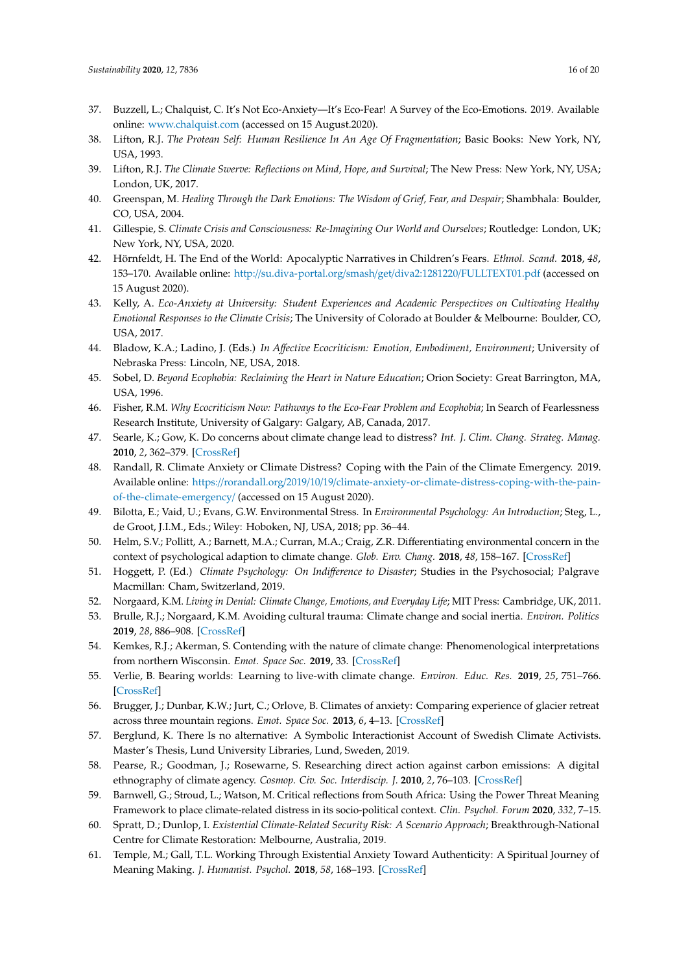- <span id="page-15-0"></span>37. Buzzell, L.; Chalquist, C. It's Not Eco-Anxiety—It's Eco-Fear! A Survey of the Eco-Emotions. 2019. Available online: <www.chalquist.com> (accessed on 15 August.2020).
- <span id="page-15-1"></span>38. Lifton, R.J. *The Protean Self: Human Resilience In An Age Of Fragmentation*; Basic Books: New York, NY, USA, 1993.
- 39. Lifton, R.J. *The Climate Swerve: Reflections on Mind, Hope, and Survival*; The New Press: New York, NY, USA; London, UK, 2017.
- <span id="page-15-19"></span>40. Greenspan, M. *Healing Through the Dark Emotions: The Wisdom of Grief, Fear, and Despair*; Shambhala: Boulder, CO, USA, 2004.
- <span id="page-15-2"></span>41. Gillespie, S. *Climate Crisis and Consciousness: Re-Imagining Our World and Ourselves*; Routledge: London, UK; New York, NY, USA, 2020.
- <span id="page-15-3"></span>42. Hörnfeldt, H. The End of the World: Apocalyptic Narratives in Children's Fears. *Ethnol. Scand.* **2018**, *48*, 153–170. Available online: http://[su.diva-portal.org](http://su.diva-portal.org/smash/get/diva2:1281220/FULLTEXT01.pdf)/smash/get/diva2:1281220/FULLTEXT01.pdf (accessed on 15 August 2020).
- <span id="page-15-4"></span>43. Kelly, A. *Eco-Anxiety at University: Student Experiences and Academic Perspectives on Cultivating Healthy Emotional Responses to the Climate Crisis*; The University of Colorado at Boulder & Melbourne: Boulder, CO, USA, 2017.
- <span id="page-15-5"></span>44. Bladow, K.A.; Ladino, J. (Eds.) *In A*ff*ective Ecocriticism: Emotion, Embodiment, Environment*; University of Nebraska Press: Lincoln, NE, USA, 2018.
- 45. Sobel, D. *Beyond Ecophobia: Reclaiming the Heart in Nature Education*; Orion Society: Great Barrington, MA, USA, 1996.
- <span id="page-15-6"></span>46. Fisher, R.M. *Why Ecocriticism Now: Pathways to the Eco-Fear Problem and Ecophobia*; In Search of Fearlessness Research Institute, University of Galgary: Galgary, AB, Canada, 2017.
- <span id="page-15-7"></span>47. Searle, K.; Gow, K. Do concerns about climate change lead to distress? *Int. J. Clim. Chang. Strateg. Manag.* **2010**, *2*, 362–379. [\[CrossRef\]](http://dx.doi.org/10.1108/17568691011089891)
- <span id="page-15-8"></span>48. Randall, R. Climate Anxiety or Climate Distress? Coping with the Pain of the Climate Emergency. 2019. Available online: https://rorandall.org/2019/10/19/[climate-anxiety-or-climate-distress-coping-with-the-pain](https://rorandall.org/2019/10/19/climate-anxiety-or-climate-distress-coping-with-the-pain-of-the-climate-emergency/)[of-the-climate-emergency](https://rorandall.org/2019/10/19/climate-anxiety-or-climate-distress-coping-with-the-pain-of-the-climate-emergency/)/ (accessed on 15 August 2020).
- <span id="page-15-9"></span>49. Bilotta, E.; Vaid, U.; Evans, G.W. Environmental Stress. In *Environmental Psychology: An Introduction*; Steg, L., de Groot, J.I.M., Eds.; Wiley: Hoboken, NJ, USA, 2018; pp. 36–44.
- <span id="page-15-10"></span>50. Helm, S.V.; Pollitt, A.; Barnett, M.A.; Curran, M.A.; Craig, Z.R. Differentiating environmental concern in the context of psychological adaption to climate change. *Glob. Env. Chang.* **2018**, *48*, 158–167. [\[CrossRef\]](http://dx.doi.org/10.1016/j.gloenvcha.2017.11.012)
- <span id="page-15-11"></span>51. Hoggett, P. (Ed.) *Climate Psychology: On Indi*ff*erence to Disaster*; Studies in the Psychosocial; Palgrave Macmillan: Cham, Switzerland, 2019.
- <span id="page-15-12"></span>52. Norgaard, K.M. *Living in Denial: Climate Change, Emotions, and Everyday Life*; MIT Press: Cambridge, UK, 2011.
- <span id="page-15-13"></span>53. Brulle, R.J.; Norgaard, K.M. Avoiding cultural trauma: Climate change and social inertia. *Environ. Politics* **2019**, *28*, 886–908. [\[CrossRef\]](http://dx.doi.org/10.1080/09644016.2018.1562138)
- <span id="page-15-14"></span>54. Kemkes, R.J.; Akerman, S. Contending with the nature of climate change: Phenomenological interpretations from northern Wisconsin. *Emot. Space Soc.* **2019**, 33. [\[CrossRef\]](http://dx.doi.org/10.1016/j.emospa.2019.100614)
- <span id="page-15-21"></span>55. Verlie, B. Bearing worlds: Learning to live-with climate change. *Environ. Educ. Res.* **2019**, *25*, 751–766. [\[CrossRef\]](http://dx.doi.org/10.1080/13504622.2019.1637823)
- 56. Brugger, J.; Dunbar, K.W.; Jurt, C.; Orlove, B. Climates of anxiety: Comparing experience of glacier retreat across three mountain regions. *Emot. Space Soc.* **2013**, *6*, 4–13. [\[CrossRef\]](http://dx.doi.org/10.1016/j.emospa.2012.05.001)
- <span id="page-15-20"></span>57. Berglund, K. There Is no alternative: A Symbolic Interactionist Account of Swedish Climate Activists. Master's Thesis, Lund University Libraries, Lund, Sweden, 2019.
- <span id="page-15-15"></span>58. Pearse, R.; Goodman, J.; Rosewarne, S. Researching direct action against carbon emissions: A digital ethnography of climate agency. *Cosmop. Civ. Soc. Interdiscip. J.* **2010**, *2*, 76–103. [\[CrossRef\]](http://dx.doi.org/10.5130/ccs.v2i3.1794)
- <span id="page-15-16"></span>59. Barnwell, G.; Stroud, L.; Watson, M. Critical reflections from South Africa: Using the Power Threat Meaning Framework to place climate-related distress in its socio-political context. *Clin. Psychol. Forum* **2020**, *332*, 7–15.
- <span id="page-15-17"></span>60. Spratt, D.; Dunlop, I. *Existential Climate-Related Security Risk: A Scenario Approach*; Breakthrough-National Centre for Climate Restoration: Melbourne, Australia, 2019.
- <span id="page-15-18"></span>61. Temple, M.; Gall, T.L. Working Through Existential Anxiety Toward Authenticity: A Spiritual Journey of Meaning Making. *J. Humanist. Psychol.* **2018**, *58*, 168–193. [\[CrossRef\]](http://dx.doi.org/10.1177/0022167816629968)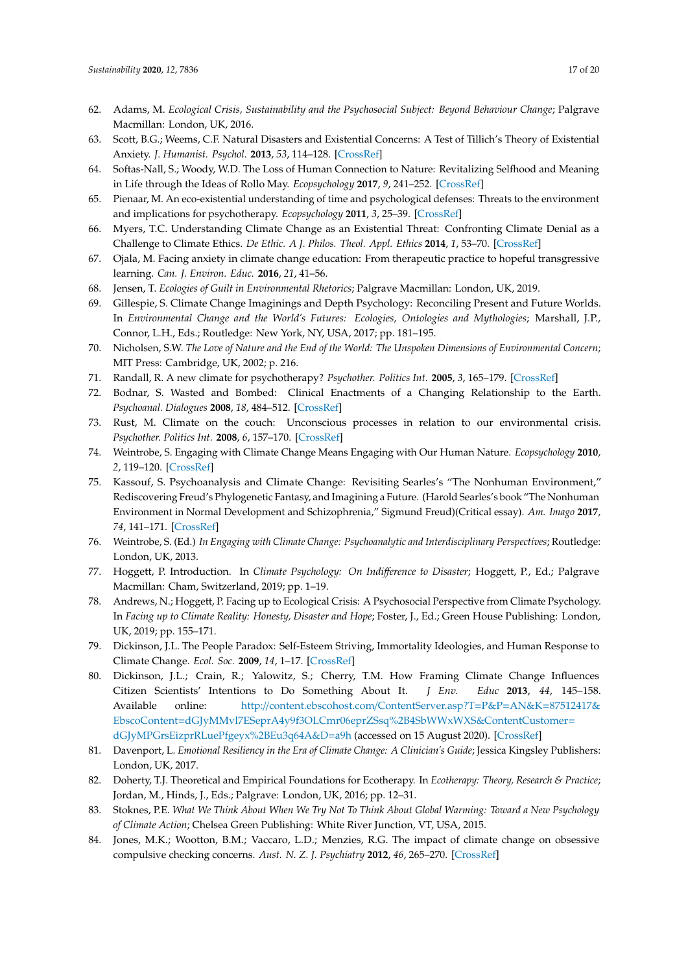- <span id="page-16-0"></span>62. Adams, M. *Ecological Crisis, Sustainability and the Psychosocial Subject: Beyond Behaviour Change*; Palgrave Macmillan: London, UK, 2016.
- <span id="page-16-1"></span>63. Scott, B.G.; Weems, C.F. Natural Disasters and Existential Concerns: A Test of Tillich's Theory of Existential Anxiety. *J. Humanist. Psychol.* **2013**, *53*, 114–128. [\[CrossRef\]](http://dx.doi.org/10.1177/0022167812449190)
- <span id="page-16-2"></span>64. Softas-Nall, S.; Woody, W.D. The Loss of Human Connection to Nature: Revitalizing Selfhood and Meaning in Life through the Ideas of Rollo May. *Ecopsychology* **2017**, *9*, 241–252. [\[CrossRef\]](http://dx.doi.org/10.1089/eco.2017.0020)
- <span id="page-16-3"></span>65. Pienaar, M. An eco-existential understanding of time and psychological defenses: Threats to the environment and implications for psychotherapy. *Ecopsychology* **2011**, *3*, 25–39. [\[CrossRef\]](http://dx.doi.org/10.1089/eco.2010.0058)
- <span id="page-16-4"></span>66. Myers, T.C. Understanding Climate Change as an Existential Threat: Confronting Climate Denial as a Challenge to Climate Ethics. *De Ethic. A J. Philos. Theol. Appl. Ethics* **2014**, *1*, 53–70. [\[CrossRef\]](http://dx.doi.org/10.3384/de-ethica.2001-8819.141153)
- <span id="page-16-5"></span>67. Ojala, M. Facing anxiety in climate change education: From therapeutic practice to hopeful transgressive learning. *Can. J. Environ. Educ.* **2016**, *21*, 41–56.
- <span id="page-16-6"></span>68. Jensen, T. *Ecologies of Guilt in Environmental Rhetorics*; Palgrave Macmillan: London, UK, 2019.
- <span id="page-16-7"></span>69. Gillespie, S. Climate Change Imaginings and Depth Psychology: Reconciling Present and Future Worlds. In *Environmental Change and the World's Futures: Ecologies, Ontologies and Mythologies*; Marshall, J.P., Connor, L.H., Eds.; Routledge: New York, NY, USA, 2017; pp. 181–195.
- <span id="page-16-8"></span>70. Nicholsen, S.W. *The Love of Nature and the End of the World: The Unspoken Dimensions of Environmental Concern*; MIT Press: Cambridge, UK, 2002; p. 216.
- <span id="page-16-18"></span>71. Randall, R. A new climate for psychotherapy? *Psychother. Politics Int.* **2005**, *3*, 165–179. [\[CrossRef\]](http://dx.doi.org/10.1002/ppi.7)
- 72. Bodnar, S. Wasted and Bombed: Clinical Enactments of a Changing Relationship to the Earth. *Psychoanal. Dialogues* **2008**, *18*, 484–512. [\[CrossRef\]](http://dx.doi.org/10.1080/10481880802198319)
- <span id="page-16-19"></span>73. Rust, M. Climate on the couch: Unconscious processes in relation to our environmental crisis. *Psychother. Politics Int.* **2008**, *6*, 157–170. [\[CrossRef\]](http://dx.doi.org/10.1002/ppi.174)
- <span id="page-16-9"></span>74. Weintrobe, S. Engaging with Climate Change Means Engaging with Our Human Nature. *Ecopsychology* **2010**, *2*, 119–120. [\[CrossRef\]](http://dx.doi.org/10.1089/eco.2010.0041)
- <span id="page-16-10"></span>75. Kassouf, S. Psychoanalysis and Climate Change: Revisiting Searles's "The Nonhuman Environment," Rediscovering Freud's Phylogenetic Fantasy, and Imagining a Future. (Harold Searles's book "The Nonhuman Environment in Normal Development and Schizophrenia," Sigmund Freud)(Critical essay). *Am. Imago* **2017**, *74*, 141–171. [\[CrossRef\]](http://dx.doi.org/10.1353/aim.2017.0008)
- <span id="page-16-11"></span>76. Weintrobe, S. (Ed.) *In Engaging with Climate Change: Psychoanalytic and Interdisciplinary Perspectives*; Routledge: London, UK, 2013.
- <span id="page-16-12"></span>77. Hoggett, P. Introduction. In *Climate Psychology: On Indi*ff*erence to Disaster*; Hoggett, P., Ed.; Palgrave Macmillan: Cham, Switzerland, 2019; pp. 1–19.
- <span id="page-16-13"></span>78. Andrews, N.; Hoggett, P. Facing up to Ecological Crisis: A Psychosocial Perspective from Climate Psychology. In *Facing up to Climate Reality: Honesty, Disaster and Hope*; Foster, J., Ed.; Green House Publishing: London, UK, 2019; pp. 155–171.
- <span id="page-16-14"></span>79. Dickinson, J.L. The People Paradox: Self-Esteem Striving, Immortality Ideologies, and Human Response to Climate Change. *Ecol. Soc.* **2009**, *14*, 1–17. [\[CrossRef\]](http://dx.doi.org/10.5751/ES-02849-140134)
- <span id="page-16-15"></span>80. Dickinson, J.L.; Crain, R.; Yalowitz, S.; Cherry, T.M. How Framing Climate Change Influences Citizen Scientists' Intentions to Do Something About It. *J Env. Educ* **2013**, *44*, 145–158. Available online: http://[content.ebscohost.com](http://content.ebscohost.com/ContentServer.asp?T=P&P=AN&K=87512417&EbscoContent=dGJyMMvl7ESeprA4y9f3OLCmr06eprZSsq%2B4SbWWxWXS&ContentCustomer=dGJyMPGrsEizprRLuePfgeyx%2BEu3q64A&D=a9h)/ContentServer.asp?T=P&P=AN&K=87512417& EbscoContent=[dGJyMMvl7ESeprA4y9f3OLCmr06eprZSsq%2B4SbWWxWXS&ContentCustomer](http://content.ebscohost.com/ContentServer.asp?T=P&P=AN&K=87512417&EbscoContent=dGJyMMvl7ESeprA4y9f3OLCmr06eprZSsq%2B4SbWWxWXS&ContentCustomer=dGJyMPGrsEizprRLuePfgeyx%2BEu3q64A&D=a9h)= [dGJyMPGrsEizprRLuePfgeyx%2BEu3q64A&D](http://content.ebscohost.com/ContentServer.asp?T=P&P=AN&K=87512417&EbscoContent=dGJyMMvl7ESeprA4y9f3OLCmr06eprZSsq%2B4SbWWxWXS&ContentCustomer=dGJyMPGrsEizprRLuePfgeyx%2BEu3q64A&D=a9h)=a9h (accessed on 15 August 2020). [\[CrossRef\]](http://dx.doi.org/10.1080/00958964.2012.742032)
- <span id="page-16-16"></span>81. Davenport, L. *Emotional Resiliency in the Era of Climate Change: A Clinician's Guide*; Jessica Kingsley Publishers: London, UK, 2017.
- <span id="page-16-17"></span>82. Doherty, T.J. Theoretical and Empirical Foundations for Ecotherapy. In *Ecotherapy: Theory, Research & Practice*; Jordan, M., Hinds, J., Eds.; Palgrave: London, UK, 2016; pp. 12–31.
- <span id="page-16-20"></span>83. Stoknes, P.E. *What We Think About When We Try Not To Think About Global Warming: Toward a New Psychology of Climate Action*; Chelsea Green Publishing: White River Junction, VT, USA, 2015.
- <span id="page-16-21"></span>84. Jones, M.K.; Wootton, B.M.; Vaccaro, L.D.; Menzies, R.G. The impact of climate change on obsessive compulsive checking concerns. *Aust. N. Z. J. Psychiatry* **2012**, *46*, 265–270. [\[CrossRef\]](http://dx.doi.org/10.1177/0004867411433951)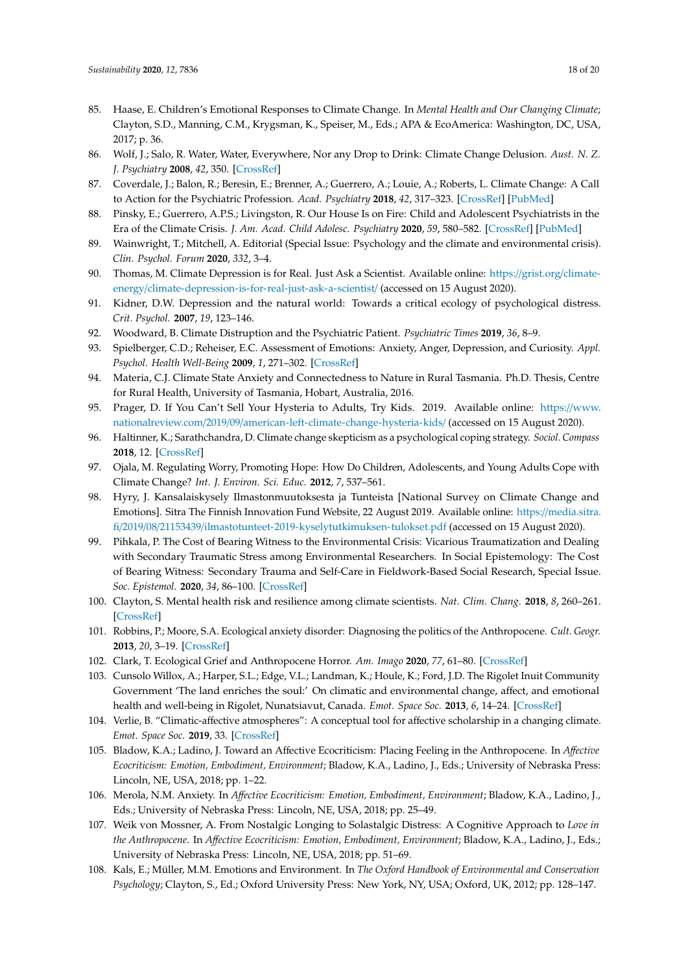- 85. Haase, E. Children's Emotional Responses to Climate Change. In *Mental Health and Our Changing Climate*; Clayton, S.D., Manning, C.M., Krygsman, K., Speiser, M., Eds.; APA & EcoAmerica: Washington, DC, USA, 2017; p. 36.
- <span id="page-17-0"></span>86. Wolf, J.; Salo, R. Water, Water, Everywhere, Nor any Drop to Drink: Climate Change Delusion. *Aust. N. Z. J. Psychiatry* **2008**, *42*, 350. [\[CrossRef\]](http://dx.doi.org/10.1080/00048670701881603)
- <span id="page-17-1"></span>87. Coverdale, J.; Balon, R.; Beresin, E.; Brenner, A.; Guerrero, A.; Louie, A.; Roberts, L. Climate Change: A Call to Action for the Psychiatric Profession. *Acad. Psychiatry* **2018**, *42*, 317–323. [\[CrossRef\]](http://dx.doi.org/10.1007/s40596-018-0885-7) [\[PubMed\]](http://www.ncbi.nlm.nih.gov/pubmed/29453644)
- <span id="page-17-2"></span>88. Pinsky, E.; Guerrero, A.P.S.; Livingston, R. Our House Is on Fire: Child and Adolescent Psychiatrists in the Era of the Climate Crisis. *J. Am. Acad. Child Adolesc. Psychiatry* **2020**, *59*, 580–582. [\[CrossRef\]](http://dx.doi.org/10.1016/j.jaac.2020.01.016) [\[PubMed\]](http://www.ncbi.nlm.nih.gov/pubmed/32340687)
- <span id="page-17-3"></span>89. Wainwright, T.; Mitchell, A. Editorial (Special Issue: Psychology and the climate and environmental crisis). *Clin. Psychol. Forum* **2020**, *332*, 3–4.
- <span id="page-17-4"></span>90. Thomas, M. Climate Depression is for Real. Just Ask a Scientist. Available online: https://[grist.org](https://grist.org/climate-energy/climate-depression-is-for-real-just-ask-a-scientist/)/climateenergy/[climate-depression-is-for-real-just-ask-a-scientist](https://grist.org/climate-energy/climate-depression-is-for-real-just-ask-a-scientist/)/ (accessed on 15 August 2020).
- <span id="page-17-5"></span>91. Kidner, D.W. Depression and the natural world: Towards a critical ecology of psychological distress. *Crit. Psychol.* **2007**, *19*, 123–146.
- <span id="page-17-6"></span>92. Woodward, B. Climate Distruption and the Psychiatric Patient. *Psychiatric Times* **2019**, *36*, 8–9.
- <span id="page-17-7"></span>93. Spielberger, C.D.; Reheiser, E.C. Assessment of Emotions: Anxiety, Anger, Depression, and Curiosity. *Appl. Psychol. Health Well-Being* **2009**, *1*, 271–302. [\[CrossRef\]](http://dx.doi.org/10.1111/j.1758-0854.2009.01017.x)
- <span id="page-17-8"></span>94. Materia, C.J. Climate State Anxiety and Connectedness to Nature in Rural Tasmania. Ph.D. Thesis, Centre for Rural Health, University of Tasmania, Hobart, Australia, 2016.
- <span id="page-17-9"></span>95. Prager, D. If You Can't Sell Your Hysteria to Adults, Try Kids. 2019. Available online: https://[www.](https://www.nationalreview.com/2019/09/american-left-climate-change-hysteria-kids/) nationalreview.com/2019/09/[american-left-climate-change-hysteria-kids](https://www.nationalreview.com/2019/09/american-left-climate-change-hysteria-kids/)/ (accessed on 15 August 2020).
- <span id="page-17-10"></span>96. Haltinner, K.; Sarathchandra, D. Climate change skepticism as a psychological coping strategy. *Sociol. Compass* **2018**, 12. [\[CrossRef\]](http://dx.doi.org/10.1111/soc4.12586)
- <span id="page-17-11"></span>97. Ojala, M. Regulating Worry, Promoting Hope: How Do Children, Adolescents, and Young Adults Cope with Climate Change? *Int. J. Environ. Sci. Educ.* **2012**, *7*, 537–561.
- <span id="page-17-12"></span>98. Hyry, J. Kansalaiskysely Ilmastonmuutoksesta ja Tunteista [National Survey on Climate Change and Emotions]. Sitra The Finnish Innovation Fund Website, 22 August 2019. Available online: https://[media.sitra.](https://media.sitra.fi/2019/08/21153439/ilmastotunteet-2019-kyselytutkimuksen-tulokset.pdf) fi/2019/08/21153439/[ilmastotunteet-2019-kyselytutkimuksen-tulokset.pdf](https://media.sitra.fi/2019/08/21153439/ilmastotunteet-2019-kyselytutkimuksen-tulokset.pdf) (accessed on 15 August 2020).
- <span id="page-17-13"></span>99. Pihkala, P. The Cost of Bearing Witness to the Environmental Crisis: Vicarious Traumatization and Dealing with Secondary Traumatic Stress among Environmental Researchers. In Social Epistemology: The Cost of Bearing Witness: Secondary Trauma and Self-Care in Fieldwork-Based Social Research, Special Issue. *Soc. Epistemol.* **2020**, *34*, 86–100. [\[CrossRef\]](http://dx.doi.org/10.1080/02691728.2019.1681560)
- <span id="page-17-14"></span>100. Clayton, S. Mental health risk and resilience among climate scientists. *Nat. Clim. Chang.* **2018**, *8*, 260–261. [\[CrossRef\]](http://dx.doi.org/10.1038/s41558-018-0123-z)
- <span id="page-17-15"></span>101. Robbins, P.; Moore, S.A. Ecological anxiety disorder: Diagnosing the politics of the Anthropocene. *Cult. Geogr.* **2013**, *20*, 3–19. [\[CrossRef\]](http://dx.doi.org/10.1177/1474474012469887)
- <span id="page-17-16"></span>102. Clark, T. Ecological Grief and Anthropocene Horror. *Am. Imago* **2020**, *77*, 61–80. [\[CrossRef\]](http://dx.doi.org/10.1353/aim.2020.0003)
- <span id="page-17-17"></span>103. Cunsolo Willox, A.; Harper, S.L.; Edge, V.L.; Landman, K.; Houle, K.; Ford, J.D. The Rigolet Inuit Community Government 'The land enriches the soul:' On climatic and environmental change, affect, and emotional health and well-being in Rigolet, Nunatsiavut, Canada. *Emot. Space Soc.* **2013**, *6*, 14–24. [\[CrossRef\]](http://dx.doi.org/10.1016/j.emospa.2011.08.005)
- <span id="page-17-18"></span>104. Verlie, B. "Climatic-affective atmospheres": A conceptual tool for affective scholarship in a changing climate. *Emot. Space Soc.* **2019**, 33. [\[CrossRef\]](http://dx.doi.org/10.1016/j.emospa.2019.100623)
- <span id="page-17-19"></span>105. Bladow, K.A.; Ladino, J. Toward an Affective Ecocriticism: Placing Feeling in the Anthropocene. In *A*ff*ective Ecocriticism: Emotion, Embodiment, Environment*; Bladow, K.A., Ladino, J., Eds.; University of Nebraska Press: Lincoln, NE, USA, 2018; pp. 1–22.
- <span id="page-17-20"></span>106. Merola, N.M. Anxiety. In *A*ff*ective Ecocriticism: Emotion, Embodiment, Environment*; Bladow, K.A., Ladino, J., Eds.; University of Nebraska Press: Lincoln, NE, USA, 2018; pp. 25–49.
- <span id="page-17-21"></span>107. Weik von Mossner, A. From Nostalgic Longing to Solastalgic Distress: A Cognitive Approach to *Love in the Anthropocene*. In *A*ff*ective Ecocriticism: Emotion, Embodiment, Environment*; Bladow, K.A., Ladino, J., Eds.; University of Nebraska Press: Lincoln, NE, USA, 2018; pp. 51–69.
- <span id="page-17-22"></span>108. Kals, E.; Müller, M.M. Emotions and Environment. In *The Oxford Handbook of Environmental and Conservation Psychology*; Clayton, S., Ed.; Oxford University Press: New York, NY, USA; Oxford, UK, 2012; pp. 128–147.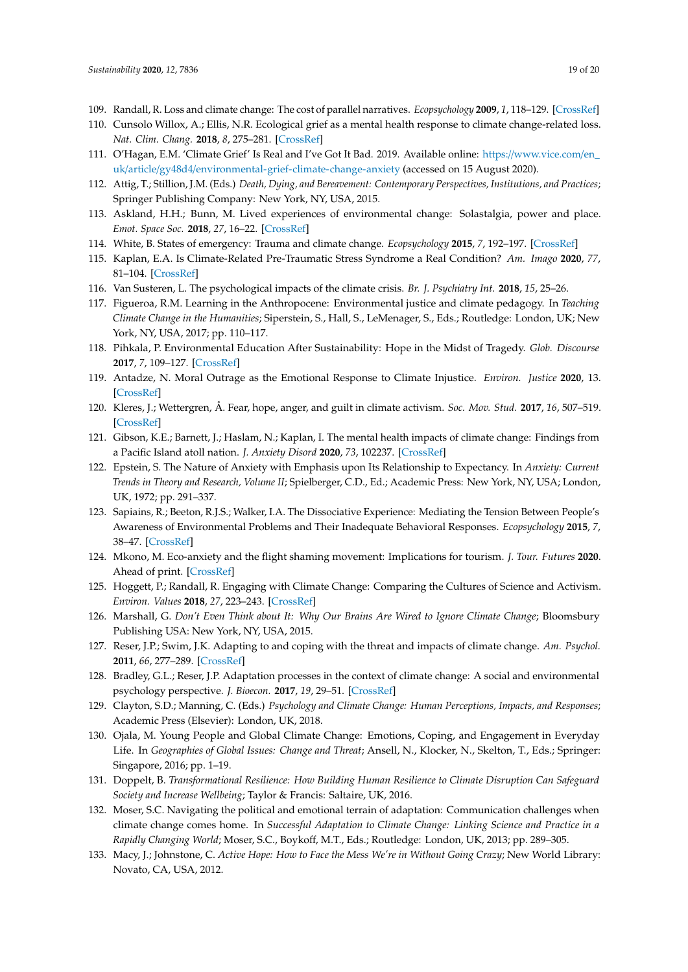- <span id="page-18-0"></span>109. Randall, R. Loss and climate change: The cost of parallel narratives. *Ecopsychology* **2009**, *1*, 118–129. [\[CrossRef\]](http://dx.doi.org/10.1089/eco.2009.0034)
- <span id="page-18-1"></span>110. Cunsolo Willox, A.; Ellis, N.R. Ecological grief as a mental health response to climate change-related loss. *Nat. Clim. Chang.* **2018**, *8*, 275–281. [\[CrossRef\]](http://dx.doi.org/10.1038/s41558-018-0092-2)
- <span id="page-18-2"></span>111. O'Hagan, E.M. 'Climate Grief' Is Real and I've Got It Bad. 2019. Available online: https://[www.vice.com](https://www.vice.com/en_uk/article/gy48d4/environmental-grief-climate-change-anxiety)/en\_ uk/article/gy48d4/[environmental-grief-climate-change-anxiety](https://www.vice.com/en_uk/article/gy48d4/environmental-grief-climate-change-anxiety) (accessed on 15 August 2020).
- <span id="page-18-3"></span>112. Attig, T.; Stillion, J.M. (Eds.) *Death, Dying, and Bereavement: Contemporary Perspectives, Institutions, and Practices*; Springer Publishing Company: New York, NY, USA, 2015.
- <span id="page-18-4"></span>113. Askland, H.H.; Bunn, M. Lived experiences of environmental change: Solastalgia, power and place. *Emot. Space Soc.* **2018**, *27*, 16–22. [\[CrossRef\]](http://dx.doi.org/10.1016/j.emospa.2018.02.003)
- <span id="page-18-5"></span>114. White, B. States of emergency: Trauma and climate change. *Ecopsychology* **2015**, *7*, 192–197. [\[CrossRef\]](http://dx.doi.org/10.1089/eco.2015.0024)
- <span id="page-18-6"></span>115. Kaplan, E.A. Is Climate-Related Pre-Traumatic Stress Syndrome a Real Condition? *Am. Imago* **2020**, *77*, 81–104. [\[CrossRef\]](http://dx.doi.org/10.1353/aim.2020.0004)
- <span id="page-18-7"></span>116. Van Susteren, L. The psychological impacts of the climate crisis. *Br. J. Psychiatry Int.* **2018**, *15*, 25–26.
- <span id="page-18-8"></span>117. Figueroa, R.M. Learning in the Anthropocene: Environmental justice and climate pedagogy. In *Teaching Climate Change in the Humanities*; Siperstein, S., Hall, S., LeMenager, S., Eds.; Routledge: London, UK; New York, NY, USA, 2017; pp. 110–117.
- <span id="page-18-9"></span>118. Pihkala, P. Environmental Education After Sustainability: Hope in the Midst of Tragedy. *Glob. Discourse* **2017**, *7*, 109–127. [\[CrossRef\]](http://dx.doi.org/10.1080/23269995.2017.1300412)
- <span id="page-18-10"></span>119. Antadze, N. Moral Outrage as the Emotional Response to Climate Injustice. *Environ. Justice* **2020**, 13. [\[CrossRef\]](http://dx.doi.org/10.1089/env.2019.0038)
- <span id="page-18-11"></span>120. Kleres, J.; Wettergren, Å. Fear, hope, anger, and guilt in climate activism. *Soc. Mov. Stud.* **2017**, *16*, 507–519. [\[CrossRef\]](http://dx.doi.org/10.1080/14742837.2017.1344546)
- <span id="page-18-12"></span>121. Gibson, K.E.; Barnett, J.; Haslam, N.; Kaplan, I. The mental health impacts of climate change: Findings from a Pacific Island atoll nation. *J. Anxiety Disord* **2020**, *73*, 102237. [\[CrossRef\]](http://dx.doi.org/10.1016/j.janxdis.2020.102237)
- <span id="page-18-13"></span>122. Epstein, S. The Nature of Anxiety with Emphasis upon Its Relationship to Expectancy. In *Anxiety: Current Trends in Theory and Research, Volume II*; Spielberger, C.D., Ed.; Academic Press: New York, NY, USA; London, UK, 1972; pp. 291–337.
- <span id="page-18-14"></span>123. Sapiains, R.; Beeton, R.J.S.; Walker, I.A. The Dissociative Experience: Mediating the Tension Between People's Awareness of Environmental Problems and Their Inadequate Behavioral Responses. *Ecopsychology* **2015**, *7*, 38–47. [\[CrossRef\]](http://dx.doi.org/10.1089/eco.2014.0048)
- <span id="page-18-15"></span>124. Mkono, M. Eco-anxiety and the flight shaming movement: Implications for tourism. *J. Tour. Futures* **2020**. Ahead of print. [\[CrossRef\]](http://dx.doi.org/10.1108/JTF-10-2019-0093)
- <span id="page-18-16"></span>125. Hoggett, P.; Randall, R. Engaging with Climate Change: Comparing the Cultures of Science and Activism. *Environ. Values* **2018**, *27*, 223–243. [\[CrossRef\]](http://dx.doi.org/10.3197/096327118X15217309300813)
- <span id="page-18-17"></span>126. Marshall, G. *Don't Even Think about It: Why Our Brains Are Wired to Ignore Climate Change*; Bloomsbury Publishing USA: New York, NY, USA, 2015.
- <span id="page-18-18"></span>127. Reser, J.P.; Swim, J.K. Adapting to and coping with the threat and impacts of climate change. *Am. Psychol.* **2011**, *66*, 277–289. [\[CrossRef\]](http://dx.doi.org/10.1037/a0023412)
- 128. Bradley, G.L.; Reser, J.P. Adaptation processes in the context of climate change: A social and environmental psychology perspective. *J. Bioecon.* **2017**, *19*, 29–51. [\[CrossRef\]](http://dx.doi.org/10.1007/s10818-016-9231-x)
- 129. Clayton, S.D.; Manning, C. (Eds.) *Psychology and Climate Change: Human Perceptions, Impacts, and Responses*; Academic Press (Elsevier): London, UK, 2018.
- <span id="page-18-19"></span>130. Ojala, M. Young People and Global Climate Change: Emotions, Coping, and Engagement in Everyday Life. In *Geographies of Global Issues: Change and Threat*; Ansell, N., Klocker, N., Skelton, T., Eds.; Springer: Singapore, 2016; pp. 1–19.
- <span id="page-18-20"></span>131. Doppelt, B. *Transformational Resilience: How Building Human Resilience to Climate Disruption Can Safeguard Society and Increase Wellbeing*; Taylor & Francis: Saltaire, UK, 2016.
- 132. Moser, S.C. Navigating the political and emotional terrain of adaptation: Communication challenges when climate change comes home. In *Successful Adaptation to Climate Change: Linking Science and Practice in a Rapidly Changing World*; Moser, S.C., Boykoff, M.T., Eds.; Routledge: London, UK, 2013; pp. 289–305.
- 133. Macy, J.; Johnstone, C. *Active Hope: How to Face the Mess We're in Without Going Crazy*; New World Library: Novato, CA, USA, 2012.